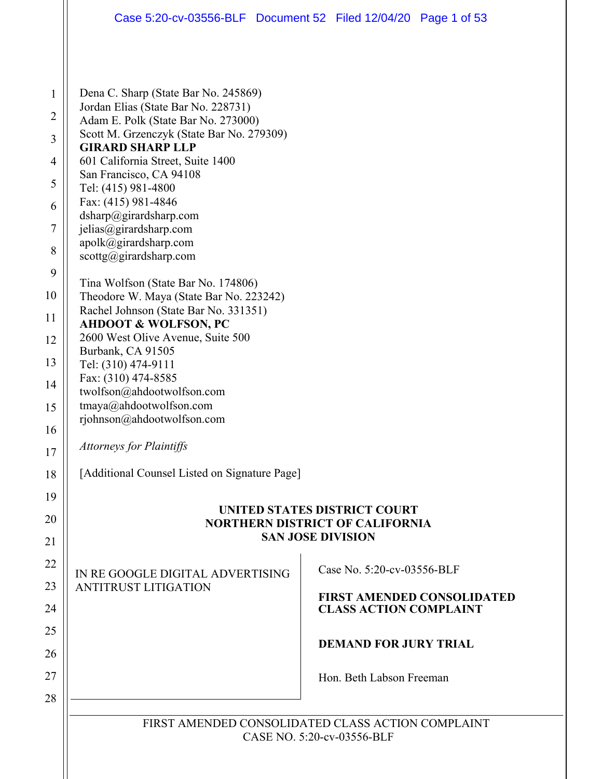| $\mathbf{1}$<br>2<br>3<br>$\overline{4}$<br>5<br>6<br>$\tau$<br>8 | Dena C. Sharp (State Bar No. 245869)<br>Jordan Elias (State Bar No. 228731)<br>Adam E. Polk (State Bar No. 273000)<br>Scott M. Grzenczyk (State Bar No. 279309)<br><b>GIRARD SHARP LLP</b><br>601 California Street, Suite 1400<br>San Francisco, CA 94108<br>Tel: (415) 981-4800<br>Fax: (415) 981-4846<br>dsharp@girardsharp.com<br>jelias@girardsharp.com<br>apolk@girardsharp.com |                                                                    |  |  |  |  |  |  |
|-------------------------------------------------------------------|---------------------------------------------------------------------------------------------------------------------------------------------------------------------------------------------------------------------------------------------------------------------------------------------------------------------------------------------------------------------------------------|--------------------------------------------------------------------|--|--|--|--|--|--|
| 9                                                                 | $scottg(\omega)$ girardsharp.com                                                                                                                                                                                                                                                                                                                                                      |                                                                    |  |  |  |  |  |  |
| 10                                                                | Tina Wolfson (State Bar No. 174806)<br>Theodore W. Maya (State Bar No. 223242)                                                                                                                                                                                                                                                                                                        |                                                                    |  |  |  |  |  |  |
| 11                                                                | Rachel Johnson (State Bar No. 331351)                                                                                                                                                                                                                                                                                                                                                 |                                                                    |  |  |  |  |  |  |
| 12                                                                | <b>AHDOOT &amp; WOLFSON, PC</b><br>2600 West Olive Avenue, Suite 500                                                                                                                                                                                                                                                                                                                  |                                                                    |  |  |  |  |  |  |
| 13                                                                | Burbank, CA 91505                                                                                                                                                                                                                                                                                                                                                                     |                                                                    |  |  |  |  |  |  |
|                                                                   | Tel: (310) 474-9111<br>Fax: (310) 474-8585                                                                                                                                                                                                                                                                                                                                            |                                                                    |  |  |  |  |  |  |
| 14                                                                | twolfson@ahdootwolfson.com                                                                                                                                                                                                                                                                                                                                                            |                                                                    |  |  |  |  |  |  |
| 15                                                                | tmaya@ahdootwolfson.com<br>rjohnson@ahdootwolfson.com                                                                                                                                                                                                                                                                                                                                 |                                                                    |  |  |  |  |  |  |
| 16                                                                |                                                                                                                                                                                                                                                                                                                                                                                       |                                                                    |  |  |  |  |  |  |
| 17                                                                | <b>Attorneys for Plaintiffs</b>                                                                                                                                                                                                                                                                                                                                                       |                                                                    |  |  |  |  |  |  |
| 18                                                                | [Additional Counsel Listed on Signature Page]                                                                                                                                                                                                                                                                                                                                         |                                                                    |  |  |  |  |  |  |
| 19                                                                |                                                                                                                                                                                                                                                                                                                                                                                       |                                                                    |  |  |  |  |  |  |
| 20                                                                | UNITED STATES DISTRICT COURT<br><b>NORTHERN DISTRICT OF CALIFORNIA</b>                                                                                                                                                                                                                                                                                                                |                                                                    |  |  |  |  |  |  |
| 21                                                                | <b>SAN JOSE DIVISION</b>                                                                                                                                                                                                                                                                                                                                                              |                                                                    |  |  |  |  |  |  |
| 22                                                                |                                                                                                                                                                                                                                                                                                                                                                                       | Case No. 5:20-cv-03556-BLF                                         |  |  |  |  |  |  |
| 23                                                                | IN RE GOOGLE DIGITAL ADVERTISING<br><b>ANTITRUST LITIGATION</b>                                                                                                                                                                                                                                                                                                                       |                                                                    |  |  |  |  |  |  |
| 24                                                                |                                                                                                                                                                                                                                                                                                                                                                                       | <b>FIRST AMENDED CONSOLIDATED</b><br><b>CLASS ACTION COMPLAINT</b> |  |  |  |  |  |  |
| 25                                                                |                                                                                                                                                                                                                                                                                                                                                                                       |                                                                    |  |  |  |  |  |  |
| 26                                                                |                                                                                                                                                                                                                                                                                                                                                                                       | <b>DEMAND FOR JURY TRIAL</b>                                       |  |  |  |  |  |  |
| 27                                                                |                                                                                                                                                                                                                                                                                                                                                                                       | Hon. Beth Labson Freeman                                           |  |  |  |  |  |  |
| 28                                                                |                                                                                                                                                                                                                                                                                                                                                                                       |                                                                    |  |  |  |  |  |  |
|                                                                   |                                                                                                                                                                                                                                                                                                                                                                                       |                                                                    |  |  |  |  |  |  |
|                                                                   | FIRST AMENDED CONSOLIDATED CLASS ACTION COMPLAINT<br>CASE NO. 5:20-cv-03556-BLF                                                                                                                                                                                                                                                                                                       |                                                                    |  |  |  |  |  |  |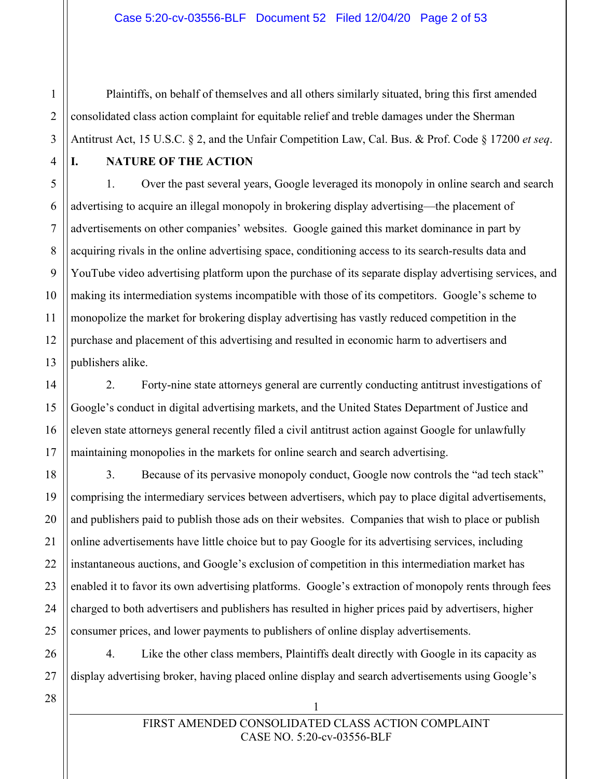#### Case 5:20-cv-03556-BLF Document 52 Filed 12/04/20 Page 2 of 53

Plaintiffs, on behalf of themselves and all others similarly situated, bring this first amended consolidated class action complaint for equitable relief and treble damages under the Sherman Antitrust Act, 15 U.S.C. § 2, and the Unfair Competition Law, Cal. Bus. & Prof. Code § 17200 *et seq*.

1

 $\mathfrak{D}$ 

3

4

5

6

7

8

9

10

11

12

13

14

15

16

17

18

19

20

21

22

23

24

25

26

#### **I. NATURE OF THE ACTION**

1. Over the past several years, Google leveraged its monopoly in online search and search advertising to acquire an illegal monopoly in brokering display advertising—the placement of advertisements on other companies' websites. Google gained this market dominance in part by acquiring rivals in the online advertising space, conditioning access to its search-results data and YouTube video advertising platform upon the purchase of its separate display advertising services, and making its intermediation systems incompatible with those of its competitors. Google's scheme to monopolize the market for brokering display advertising has vastly reduced competition in the purchase and placement of this advertising and resulted in economic harm to advertisers and publishers alike.

2. Forty-nine state attorneys general are currently conducting antitrust investigations of Google's conduct in digital advertising markets, and the United States Department of Justice and eleven state attorneys general recently filed a civil antitrust action against Google for unlawfully maintaining monopolies in the markets for online search and search advertising.

3. Because of its pervasive monopoly conduct, Google now controls the "ad tech stack" comprising the intermediary services between advertisers, which pay to place digital advertisements, and publishers paid to publish those ads on their websites. Companies that wish to place or publish online advertisements have little choice but to pay Google for its advertising services, including instantaneous auctions, and Google's exclusion of competition in this intermediation market has enabled it to favor its own advertising platforms. Google's extraction of monopoly rents through fees charged to both advertisers and publishers has resulted in higher prices paid by advertisers, higher consumer prices, and lower payments to publishers of online display advertisements.

4. Like the other class members, Plaintiffs dealt directly with Google in its capacity as display advertising broker, having placed online display and search advertisements using Google's

28

27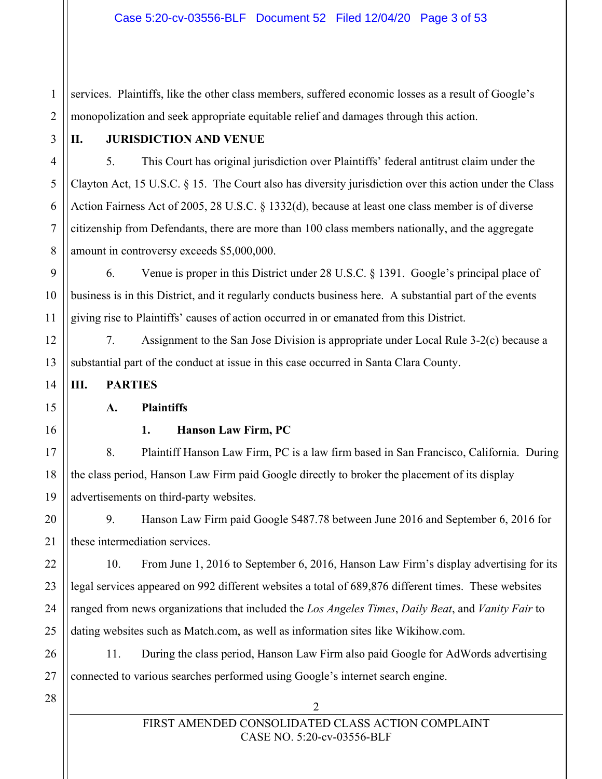1  $\mathfrak{D}$ services. Plaintiffs, like the other class members, suffered economic losses as a result of Google's monopolization and seek appropriate equitable relief and damages through this action.

3

4

5

6

7

8

9

10

11

12

13

14

15

16

17

18

19

21

22

23

24

25

26

27

## **II. JURISDICTION AND VENUE**

5. This Court has original jurisdiction over Plaintiffs' federal antitrust claim under the Clayton Act, 15 U.S.C. § 15. The Court also has diversity jurisdiction over this action under the Class Action Fairness Act of 2005, 28 U.S.C. § 1332(d), because at least one class member is of diverse citizenship from Defendants, there are more than 100 class members nationally, and the aggregate amount in controversy exceeds \$5,000,000.

6. Venue is proper in this District under 28 U.S.C. § 1391. Google's principal place of business is in this District, and it regularly conducts business here. A substantial part of the events giving rise to Plaintiffs' causes of action occurred in or emanated from this District.

7. Assignment to the San Jose Division is appropriate under Local Rule 3-2(c) because a substantial part of the conduct at issue in this case occurred in Santa Clara County.

**III. PARTIES**

**A. Plaintiffs**

#### **1. Hanson Law Firm, PC**

8. Plaintiff Hanson Law Firm, PC is a law firm based in San Francisco, California. During the class period, Hanson Law Firm paid Google directly to broker the placement of its display advertisements on third-party websites.

20 9. Hanson Law Firm paid Google \$487.78 between June 2016 and September 6, 2016 for these intermediation services.

10. From June 1, 2016 to September 6, 2016, Hanson Law Firm's display advertising for its legal services appeared on 992 different websites a total of 689,876 different times. These websites ranged from news organizations that included the *Los Angeles Times*, *Daily Beat*, and *Vanity Fair* to dating websites such as Match.com, as well as information sites like Wikihow.com.

11. During the class period, Hanson Law Firm also paid Google for AdWords advertising connected to various searches performed using Google's internet search engine.

28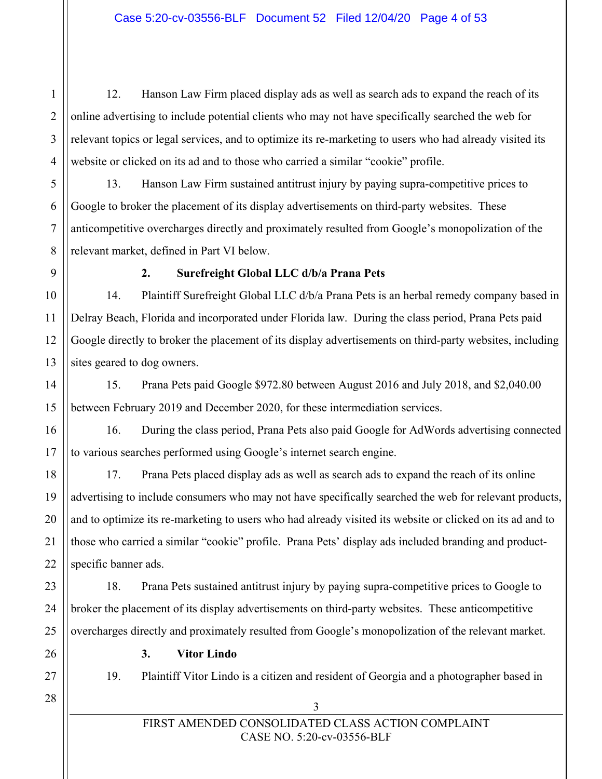12. Hanson Law Firm placed display ads as well as search ads to expand the reach of its online advertising to include potential clients who may not have specifically searched the web for relevant topics or legal services, and to optimize its re-marketing to users who had already visited its website or clicked on its ad and to those who carried a similar "cookie" profile.

13. Hanson Law Firm sustained antitrust injury by paying supra-competitive prices to Google to broker the placement of its display advertisements on third-party websites. These anticompetitive overcharges directly and proximately resulted from Google's monopolization of the relevant market, defined in Part VI below.

#### **2. Surefreight Global LLC d/b/a Prana Pets**

# 14. Plaintiff Surefreight Global LLC d/b/a Prana Pets is an herbal remedy company based in Delray Beach, Florida and incorporated under Florida law. During the class period, Prana Pets paid Google directly to broker the placement of its display advertisements on third-party websites, including sites geared to dog owners.

15. Prana Pets paid Google \$972.80 between August 2016 and July 2018, and \$2,040.00 between February 2019 and December 2020, for these intermediation services.

16. During the class period, Prana Pets also paid Google for AdWords advertising connected to various searches performed using Google's internet search engine.

17. Prana Pets placed display ads as well as search ads to expand the reach of its online advertising to include consumers who may not have specifically searched the web for relevant products, and to optimize its re-marketing to users who had already visited its website or clicked on its ad and to those who carried a similar "cookie" profile. Prana Pets' display ads included branding and productspecific banner ads.

18. Prana Pets sustained antitrust injury by paying supra-competitive prices to Google to broker the placement of its display advertisements on third-party websites. These anticompetitive overcharges directly and proximately resulted from Google's monopolization of the relevant market.

## **3. Vitor Lindo**

19. Plaintiff Vitor Lindo is a citizen and resident of Georgia and a photographer based in

1

 $\mathfrak{D}$ 

3

4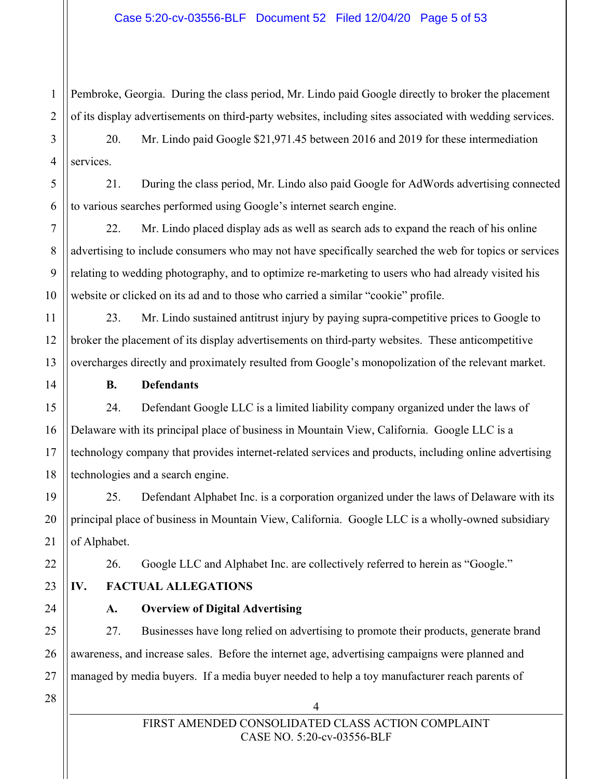Pembroke, Georgia. During the class period, Mr. Lindo paid Google directly to broker the placement of its display advertisements on third-party websites, including sites associated with wedding services.

3 4 20. Mr. Lindo paid Google \$21,971.45 between 2016 and 2019 for these intermediation services.

21. During the class period, Mr. Lindo also paid Google for AdWords advertising connected to various searches performed using Google's internet search engine.

22. Mr. Lindo placed display ads as well as search ads to expand the reach of his online advertising to include consumers who may not have specifically searched the web for topics or services relating to wedding photography, and to optimize re-marketing to users who had already visited his website or clicked on its ad and to those who carried a similar "cookie" profile.

23. Mr. Lindo sustained antitrust injury by paying supra-competitive prices to Google to broker the placement of its display advertisements on third-party websites. These anticompetitive overcharges directly and proximately resulted from Google's monopolization of the relevant market.

**B. Defendants**

24. Defendant Google LLC is a limited liability company organized under the laws of Delaware with its principal place of business in Mountain View, California. Google LLC is a technology company that provides internet-related services and products, including online advertising technologies and a search engine.

25. Defendant Alphabet Inc. is a corporation organized under the laws of Delaware with its principal place of business in Mountain View, California. Google LLC is a wholly-owned subsidiary of Alphabet.

26. Google LLC and Alphabet Inc. are collectively referred to herein as "Google."

23

1

 $\overline{2}$ 

5

6

7

8

9

10

11

12

13

14

15

16

17

18

19

20

21

22

24

25

26

27

## **IV. FACTUAL ALLEGATIONS**

## **A. Overview of Digital Advertising**

27. Businesses have long relied on advertising to promote their products, generate brand awareness, and increase sales. Before the internet age, advertising campaigns were planned and managed by media buyers. If a media buyer needed to help a toy manufacturer reach parents of

28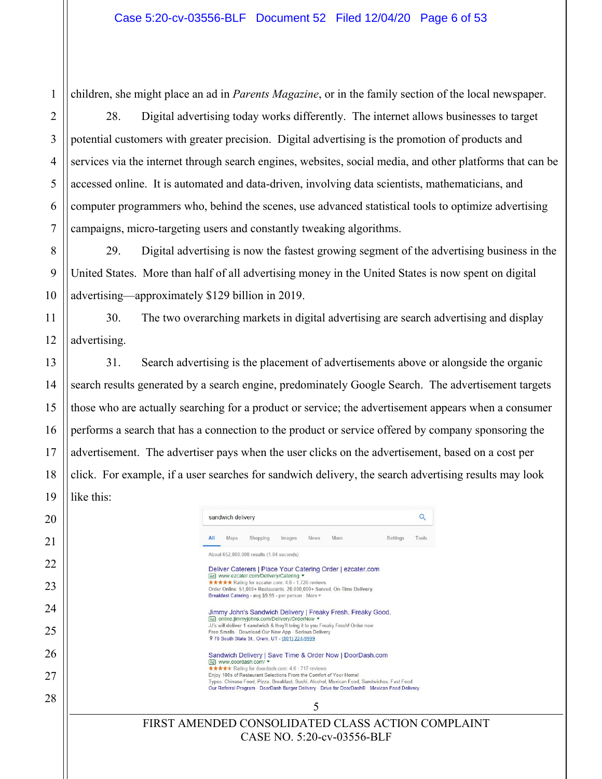1

2

3

4

5

6

7

8

9

10

11

12

13

14

15

16

17

18

19

 $\mathop{||}$ 

children, she might place an ad in *Parents Magazine*, or in the family section of the local newspaper.

28. Digital advertising today works differently. The internet allows businesses to target potential customers with greater precision. Digital advertising is the promotion of products and services via the internet through search engines, websites, social media, and other platforms that can be accessed online. It is automated and data-driven, involving data scientists, mathematicians, and computer programmers who, behind the scenes, use advanced statistical tools to optimize advertising campaigns, micro-targeting users and constantly tweaking algorithms.

29. Digital advertising is now the fastest growing segment of the advertising business in the United States. More than half of all advertising money in the United States is now spent on digital advertising—approximately \$129 billion in 2019.

30. The two overarching markets in digital advertising are search advertising and display advertising.

31. Search advertising is the placement of advertisements above or alongside the organic search results generated by a search engine, predominately Google Search. The advertisement targets those who are actually searching for a product or service; the advertisement appears when a consumer performs a search that has a connection to the product or service offered by company sponsoring the advertisement. The advertiser pays when the user clicks on the advertisement, based on a cost per click. For example, if a user searches for sandwich delivery, the search advertising results may look like this:

| 20       | Q<br>sandwich delivery                                                                                                                                                                                                                                                                                                                                                                                    |
|----------|-----------------------------------------------------------------------------------------------------------------------------------------------------------------------------------------------------------------------------------------------------------------------------------------------------------------------------------------------------------------------------------------------------------|
| 21       | All<br>Maps<br>Shopping<br>Images<br><b>News</b><br>More<br>Settings<br>Tools                                                                                                                                                                                                                                                                                                                             |
| 22       | About 652,000,000 results (1.04 seconds)<br>Deliver Caterers   Place Your Catering Order   ezcater.com                                                                                                                                                                                                                                                                                                    |
| 23       | Ad] www.ezcater.com/Delivery/Catering<br>***** Rating for ezcater.com: 4.8 - 1,726 reviews<br>Order Online. 51,000+ Restaurants. 20,000,000+ Served. On-Time Delivery.<br>Breakfast Catering - avg \$9.99 - per person · More =                                                                                                                                                                           |
| 24       | Jimmy John's Sandwich Delivery   Freaky Fresh. Freaky Good.<br>Ad online.jimmyjohns.com/Delivery/OrderNow ▼                                                                                                                                                                                                                                                                                               |
| 25       | JJ's will deliver 1 sandwich & they'll bring it to you Freaky Fresh! Order now.<br>Free Smells · Download Our New App · Serious Delivery<br>9 78 South State St., Orem, UT - (801) 224-9999                                                                                                                                                                                                               |
| 26<br>27 | Sandwich Delivery   Save Time & Order Now   DoorDash.com<br>Ad www.doordash.com/<br>***** Rating for doordash.com: 4.6 - 717 reviews<br>Enjoy 100s of Restaurant Selections From the Comfort of Your Home!<br>Types: Chinese Food, Pizza, Breakfast, Sushi, Alcohol, Mexican Food, Sandwiches, Fast Food<br>Our Referral Program - DoorDash Burger Delivery - Drive for DoorDash® - Mexican Food Delivery |
| 28       | 5                                                                                                                                                                                                                                                                                                                                                                                                         |
|          | FIRST AMENDED CONSOLIDATED CLASS ACTION COMPLAINT<br>CASE NO. 5:20-cv-03556-BLF                                                                                                                                                                                                                                                                                                                           |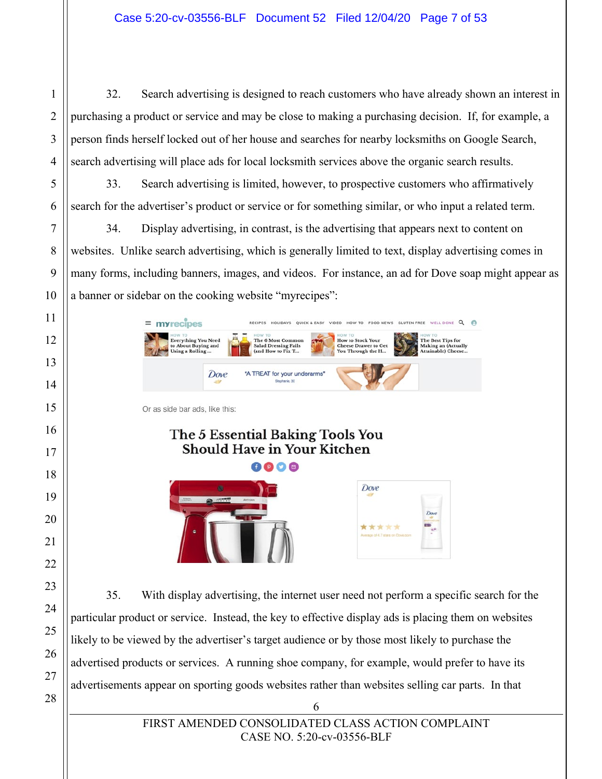32. Search advertising is designed to reach customers who have already shown an interest in purchasing a product or service and may be close to making a purchasing decision. If, for example, a person finds herself locked out of her house and searches for nearby locksmiths on Google Search, search advertising will place ads for local locksmith services above the organic search results.

33. Search advertising is limited, however, to prospective customers who affirmatively search for the advertiser's product or service or for something similar, or who input a related term.

34. Display advertising, in contrast, is the advertising that appears next to content on websites. Unlike search advertising, which is generally limited to text, display advertising comes in many forms, including banners, images, and videos. For instance, an ad for Dove soap might appear as a banner or sidebar on the cooking website "myrecipes":

| $\equiv$<br><b>myrecipes</b>                                                   |      | <b>HOLIDAYS</b>                                                                 | VIDEO<br><b>OUICK &amp; EASY</b> | FOOD NEWS<br>HOW TO                                                                    | GLUTEN EREE | <b>WELL DONE</b>                                                         |
|--------------------------------------------------------------------------------|------|---------------------------------------------------------------------------------|----------------------------------|----------------------------------------------------------------------------------------|-------------|--------------------------------------------------------------------------|
| OT WOH<br><b>Everything You Need</b><br>to About Buying and<br>Using a Rolling |      | HOW TO<br>The 6 Most Common<br><b>Salad Dressing Fails</b><br>(and How to Fix T |                                  | HOW TO<br><b>How to Stock Your</b><br><b>Cheese Drawer to Get</b><br>You Through the H |             | HOW TO<br>The Best Tips for<br>Making an (Actually<br>Attainable) Cheese |
|                                                                                | Dove | "A TREAT for your underarms"<br>Stechanie, 30                                   |                                  |                                                                                        |             |                                                                          |
|                                                                                |      |                                                                                 |                                  |                                                                                        |             |                                                                          |
|                                                                                |      |                                                                                 |                                  |                                                                                        |             |                                                                          |
| Or as side bar ads, like this:                                                 |      | The 5 Essential Baking Tools You<br><b>Should Have in Your Kitchen</b>          |                                  |                                                                                        |             |                                                                          |



35. With display advertising, the internet user need not perform a specific search for the particular product or service. Instead, the key to effective display ads is placing them on websites likely to be viewed by the advertiser's target audience or by those most likely to purchase the advertised products or services. A running shoe company, for example, would prefer to have its advertisements appear on sporting goods websites rather than websites selling car parts. In that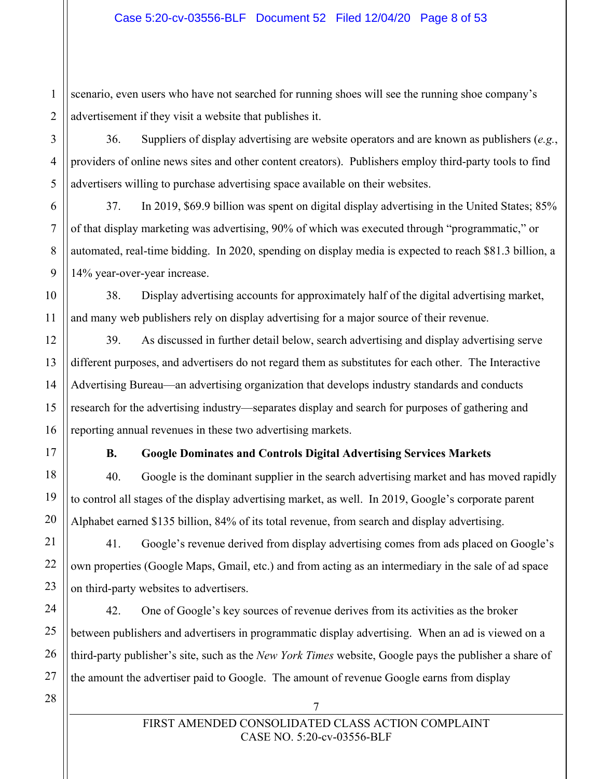1  $\overline{2}$ scenario, even users who have not searched for running shoes will see the running shoe company's advertisement if they visit a website that publishes it.

36. Suppliers of display advertising are website operators and are known as publishers (*e.g.*, providers of online news sites and other content creators). Publishers employ third-party tools to find advertisers willing to purchase advertising space available on their websites.

37. In 2019, \$69.9 billion was spent on digital display advertising in the United States; 85% of that display marketing was advertising, 90% of which was executed through "programmatic," or automated, real-time bidding. In 2020, spending on display media is expected to reach \$81.3 billion, a 14% year-over-year increase.

38. Display advertising accounts for approximately half of the digital advertising market, and many web publishers rely on display advertising for a major source of their revenue.

39. As discussed in further detail below, search advertising and display advertising serve different purposes, and advertisers do not regard them as substitutes for each other. The Interactive Advertising Bureau—an advertising organization that develops industry standards and conducts research for the advertising industry—separates display and search for purposes of gathering and reporting annual revenues in these two advertising markets.

3

4

5

6

7

8

9

10

11

12

13

14

15

16

17

18

19

20

21

22

23

24

25

## **B. Google Dominates and Controls Digital Advertising Services Markets**

40. Google is the dominant supplier in the search advertising market and has moved rapidly to control all stages of the display advertising market, as well. In 2019, Google's corporate parent Alphabet earned \$135 billion, 84% of its total revenue, from search and display advertising.

41. Google's revenue derived from display advertising comes from ads placed on Google's own properties (Google Maps, Gmail, etc.) and from acting as an intermediary in the sale of ad space on third-party websites to advertisers.

42. One of Google's key sources of revenue derives from its activities as the broker between publishers and advertisers in programmatic display advertising. When an ad is viewed on a third-party publisher's site, such as the *New York Times* website, Google pays the publisher a share of the amount the advertiser paid to Google. The amount of revenue Google earns from display

26 27 28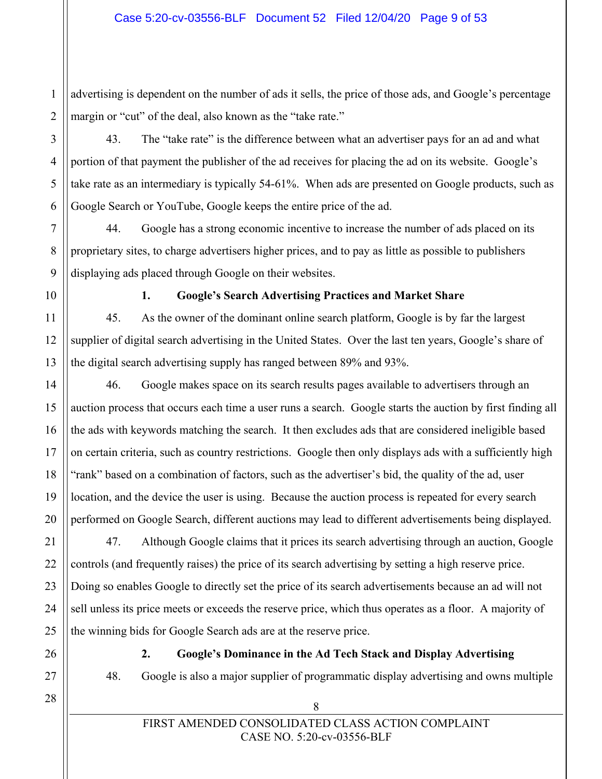1  $\overline{2}$ advertising is dependent on the number of ads it sells, the price of those ads, and Google's percentage margin or "cut" of the deal, also known as the "take rate."

43. The "take rate" is the difference between what an advertiser pays for an ad and what portion of that payment the publisher of the ad receives for placing the ad on its website. Google's take rate as an intermediary is typically 54-61%. When ads are presented on Google products, such as Google Search or YouTube, Google keeps the entire price of the ad.

44. Google has a strong economic incentive to increase the number of ads placed on its proprietary sites, to charge advertisers higher prices, and to pay as little as possible to publishers displaying ads placed through Google on their websites.

3

4

5

6

7

8

9

10

11

12

13

14

15

16

17

18

19

20

#### **1. Google's Search Advertising Practices and Market Share**

45. As the owner of the dominant online search platform, Google is by far the largest supplier of digital search advertising in the United States. Over the last ten years, Google's share of the digital search advertising supply has ranged between 89% and 93%.

46. Google makes space on its search results pages available to advertisers through an auction process that occurs each time a user runs a search. Google starts the auction by first finding all the ads with keywords matching the search. It then excludes ads that are considered ineligible based on certain criteria, such as country restrictions. Google then only displays ads with a sufficiently high "rank" based on a combination of factors, such as the advertiser's bid, the quality of the ad, user location, and the device the user is using. Because the auction process is repeated for every search performed on Google Search, different auctions may lead to different advertisements being displayed.

47. Although Google claims that it prices its search advertising through an auction, Google controls (and frequently raises) the price of its search advertising by setting a high reserve price. Doing so enables Google to directly set the price of its search advertisements because an ad will not sell unless its price meets or exceeds the reserve price, which thus operates as a floor. A majority of the winning bids for Google Search ads are at the reserve price.

**2. Google's Dominance in the Ad Tech Stack and Display Advertising** 

48. Google is also a major supplier of programmatic display advertising and owns multiple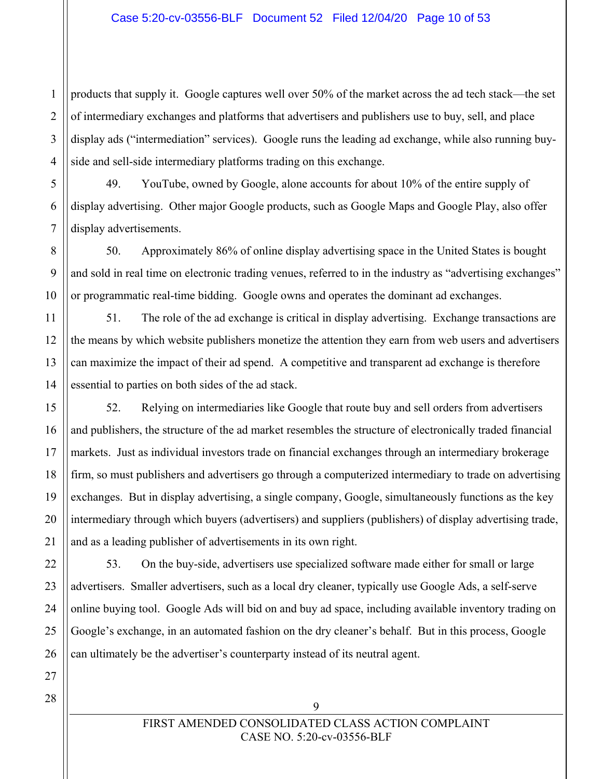#### Case 5:20-cv-03556-BLF Document 52 Filed 12/04/20 Page 10 of 53

 $\mathfrak{D}$ 3 4 products that supply it. Google captures well over 50% of the market across the ad tech stack—the set of intermediary exchanges and platforms that advertisers and publishers use to buy, sell, and place display ads ("intermediation" services). Google runs the leading ad exchange, while also running buyside and sell-side intermediary platforms trading on this exchange.

49. YouTube, owned by Google, alone accounts for about 10% of the entire supply of display advertising. Other major Google products, such as Google Maps and Google Play, also offer display advertisements.

50. Approximately 86% of online display advertising space in the United States is bought and sold in real time on electronic trading venues, referred to in the industry as "advertising exchanges" or programmatic real-time bidding. Google owns and operates the dominant ad exchanges.

51. The role of the ad exchange is critical in display advertising. Exchange transactions are the means by which website publishers monetize the attention they earn from web users and advertisers can maximize the impact of their ad spend. A competitive and transparent ad exchange is therefore essential to parties on both sides of the ad stack.

52. Relying on intermediaries like Google that route buy and sell orders from advertisers and publishers, the structure of the ad market resembles the structure of electronically traded financial markets. Just as individual investors trade on financial exchanges through an intermediary brokerage firm, so must publishers and advertisers go through a computerized intermediary to trade on advertising exchanges. But in display advertising, a single company, Google, simultaneously functions as the key intermediary through which buyers (advertisers) and suppliers (publishers) of display advertising trade, and as a leading publisher of advertisements in its own right.

53. On the buy-side, advertisers use specialized software made either for small or large advertisers. Smaller advertisers, such as a local dry cleaner, typically use Google Ads, a self-serve online buying tool. Google Ads will bid on and buy ad space, including available inventory trading on Google's exchange, in an automated fashion on the dry cleaner's behalf. But in this process, Google can ultimately be the advertiser's counterparty instead of its neutral agent.

1

5

6

7

8

9

10

11

12

13

14

15

16

17

18

19

20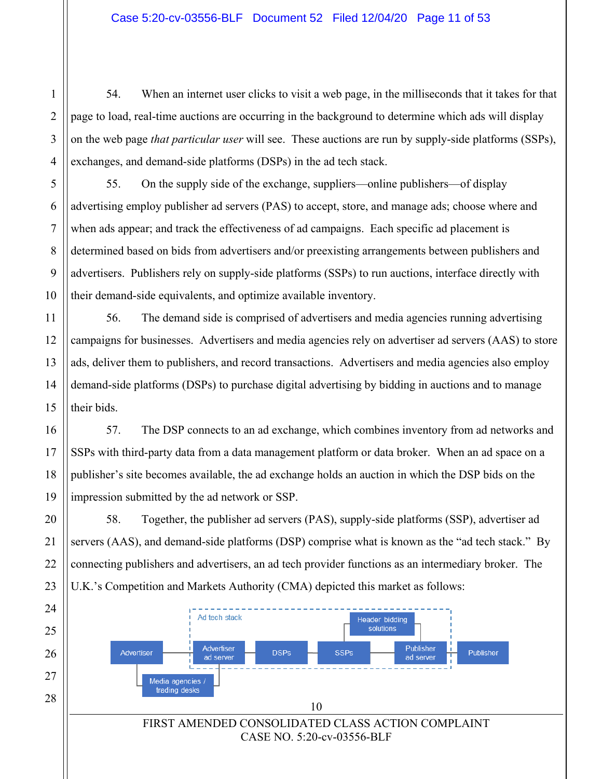1

 $\mathcal{D}_{\mathcal{L}}$ 

3

4

5

6

7

8

9

10

11

12

13

14

15

16

17

18

19

20

21

22

23

54. When an internet user clicks to visit a web page, in the milliseconds that it takes for that page to load, real-time auctions are occurring in the background to determine which ads will display on the web page *that particular user* will see. These auctions are run by supply-side platforms (SSPs), exchanges, and demand-side platforms (DSPs) in the ad tech stack.

55. On the supply side of the exchange, suppliers—online publishers—of display advertising employ publisher ad servers (PAS) to accept, store, and manage ads; choose where and when ads appear; and track the effectiveness of ad campaigns. Each specific ad placement is determined based on bids from advertisers and/or preexisting arrangements between publishers and advertisers. Publishers rely on supply-side platforms (SSPs) to run auctions, interface directly with their demand-side equivalents, and optimize available inventory.

56. The demand side is comprised of advertisers and media agencies running advertising campaigns for businesses. Advertisers and media agencies rely on advertiser ad servers (AAS) to store ads, deliver them to publishers, and record transactions. Advertisers and media agencies also employ demand-side platforms (DSPs) to purchase digital advertising by bidding in auctions and to manage their bids.

57. The DSP connects to an ad exchange, which combines inventory from ad networks and SSPs with third-party data from a data management platform or data broker. When an ad space on a publisher's site becomes available, the ad exchange holds an auction in which the DSP bids on the impression submitted by the ad network or SSP.

58. Together, the publisher ad servers (PAS), supply-side platforms (SSP), advertiser ad servers (AAS), and demand-side platforms (DSP) comprise what is known as the "ad tech stack." By connecting publishers and advertisers, an ad tech provider functions as an intermediary broker. The U.K.'s Competition and Markets Authority (CMA) depicted this market as follows:

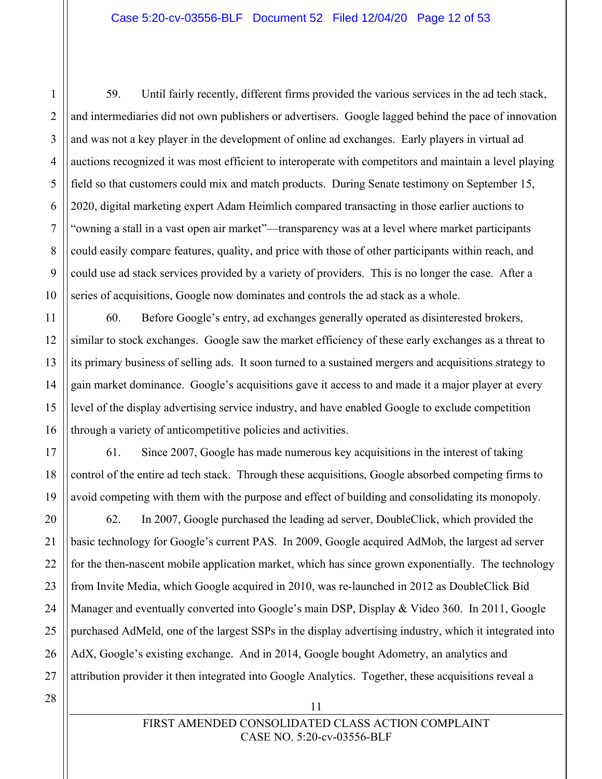59. Until fairly recently, different firms provided the various services in the ad tech stack, and intermediaries did not own publishers or advertisers. Google lagged behind the pace of innovation and was not a key player in the development of online ad exchanges. Early players in virtual ad auctions recognized it was most efficient to interoperate with competitors and maintain a level playing field so that customers could mix and match products. During Senate testimony on September 15, 2020, digital marketing expert Adam Heimlich compared transacting in those earlier auctions to "owning a stall in a vast open air market"—transparency was at a level where market participants could easily compare features, quality, and price with those of other participants within reach, and could use ad stack services provided by a variety of providers. This is no longer the case. After a series of acquisitions, Google now dominates and controls the ad stack as a whole.

60. Before Google's entry, ad exchanges generally operated as disinterested brokers, similar to stock exchanges. Google saw the market efficiency of these early exchanges as a threat to its primary business of selling ads. It soon turned to a sustained mergers and acquisitions strategy to gain market dominance. Google's acquisitions gave it access to and made it a major player at every level of the display advertising service industry, and have enabled Google to exclude competition through a variety of anticompetitive policies and activities.

61. Since 2007, Google has made numerous key acquisitions in the interest of taking control of the entire ad tech stack. Through these acquisitions, Google absorbed competing firms to avoid competing with them with the purpose and effect of building and consolidating its monopoly.

62. In 2007, Google purchased the leading ad server, DoubleClick, which provided the basic technology for Google's current PAS. In 2009, Google acquired AdMob, the largest ad server for the then-nascent mobile application market, which has since grown exponentially. The technology from Invite Media, which Google acquired in 2010, was re-launched in 2012 as DoubleClick Bid Manager and eventually converted into Google's main DSP, Display & Video 360. In 2011, Google purchased AdMeld, one of the largest SSPs in the display advertising industry, which it integrated into AdX, Google's existing exchange. And in 2014, Google bought Adometry, an analytics and attribution provider it then integrated into Google Analytics. Together, these acquisitions reveal a

28

11

1

 $\mathfrak{D}$ 

3

4

5

6

7

8

9

10

11

12

13

14

15

16

17

18

19

20

21

22

23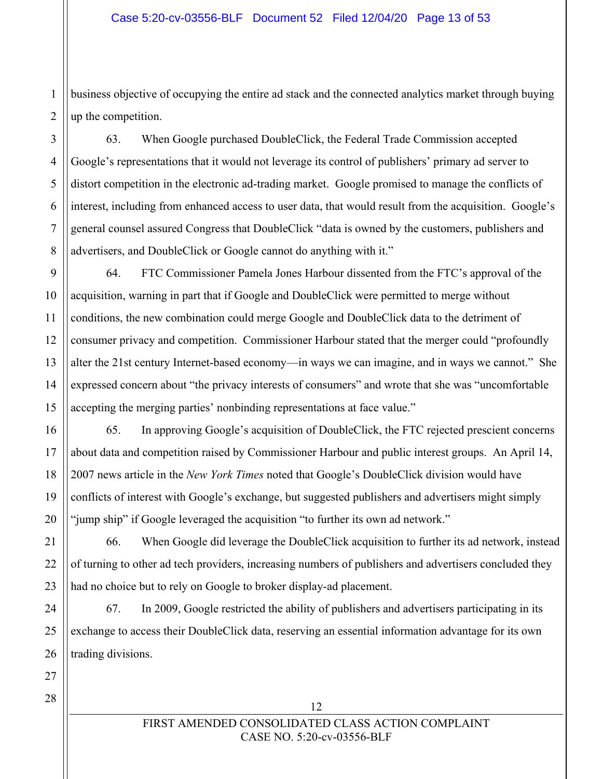business objective of occupying the entire ad stack and the connected analytics market through buying up the competition.

63. When Google purchased DoubleClick, the Federal Trade Commission accepted Google's representations that it would not leverage its control of publishers' primary ad server to distort competition in the electronic ad-trading market. Google promised to manage the conflicts of interest, including from enhanced access to user data, that would result from the acquisition. Google's general counsel assured Congress that DoubleClick "data is owned by the customers, publishers and advertisers, and DoubleClick or Google cannot do anything with it."

64. FTC Commissioner Pamela Jones Harbour dissented from the FTC's approval of the acquisition, warning in part that if Google and DoubleClick were permitted to merge without conditions, the new combination could merge Google and DoubleClick data to the detriment of consumer privacy and competition. Commissioner Harbour stated that the merger could "profoundly alter the 21st century Internet-based economy—in ways we can imagine, and in ways we cannot." She expressed concern about "the privacy interests of consumers" and wrote that she was "uncomfortable accepting the merging parties' nonbinding representations at face value."

65. In approving Google's acquisition of DoubleClick, the FTC rejected prescient concerns about data and competition raised by Commissioner Harbour and public interest groups. An April 14, 2007 news article in the *New York Times* noted that Google's DoubleClick division would have conflicts of interest with Google's exchange, but suggested publishers and advertisers might simply "jump ship" if Google leveraged the acquisition "to further its own ad network."

66. When Google did leverage the DoubleClick acquisition to further its ad network, instead of turning to other ad tech providers, increasing numbers of publishers and advertisers concluded they had no choice but to rely on Google to broker display-ad placement.

67. In 2009, Google restricted the ability of publishers and advertisers participating in its exchange to access their DoubleClick data, reserving an essential information advantage for its own trading divisions.

18 19 20

1

 $\overline{2}$ 

3

4

5

6

7

8

9

10

11

12

13

14

15

16

17

FIRST AMENDED CONSOLIDATED CLASS ACTION COMPLAINT CASE NO. 5:20-cv-03556-BLF

12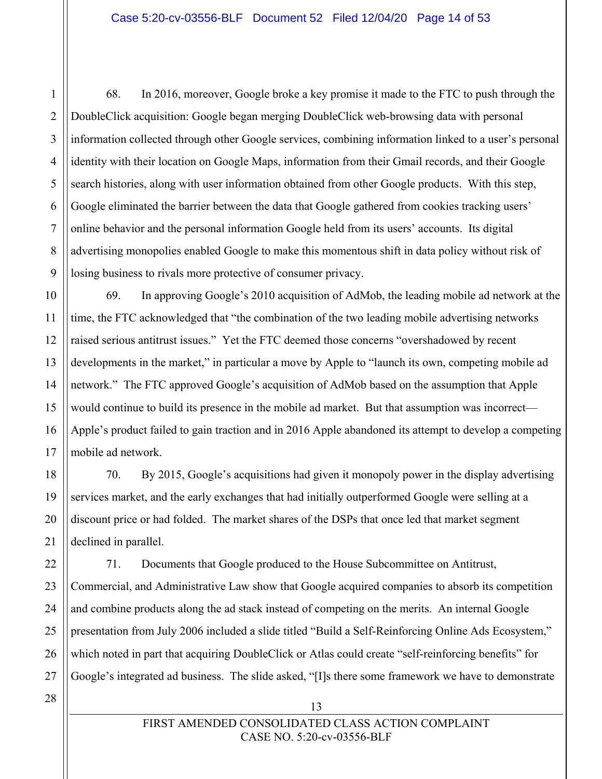68. In 2016, moreover, Google broke a key promise it made to the FTC to push through the DoubleClick acquisition: Google began merging DoubleClick web-browsing data with personal information collected through other Google services, combining information linked to a user's personal identity with their location on Google Maps, information from their Gmail records, and their Google search histories, along with user information obtained from other Google products. With this step, Google eliminated the barrier between the data that Google gathered from cookies tracking users' online behavior and the personal information Google held from its users' accounts. Its digital advertising monopolies enabled Google to make this momentous shift in data policy without risk of losing business to rivals more protective of consumer privacy.

69. In approving Google's 2010 acquisition of AdMob, the leading mobile ad network at the time, the FTC acknowledged that "the combination of the two leading mobile advertising networks raised serious antitrust issues." Yet the FTC deemed those concerns "overshadowed by recent developments in the market," in particular a move by Apple to "launch its own, competing mobile ad network." The FTC approved Google's acquisition of AdMob based on the assumption that Apple would continue to build its presence in the mobile ad market. But that assumption was incorrect— Apple's product failed to gain traction and in 2016 Apple abandoned its attempt to develop a competing mobile ad network.

70. By 2015, Google's acquisitions had given it monopoly power in the display advertising services market, and the early exchanges that had initially outperformed Google were selling at a discount price or had folded. The market shares of the DSPs that once led that market segment declined in parallel.

71. Documents that Google produced to the House Subcommittee on Antitrust, Commercial, and Administrative Law show that Google acquired companies to absorb its competition and combine products along the ad stack instead of competing on the merits. An internal Google presentation from July 2006 included a slide titled "Build a Self-Reinforcing Online Ads Ecosystem," which noted in part that acquiring DoubleClick or Atlas could create "self-reinforcing benefits" for Google's integrated ad business. The slide asked, "[I]s there some framework we have to demonstrate

13

1

 $\mathfrak{D}$ 

3

4

5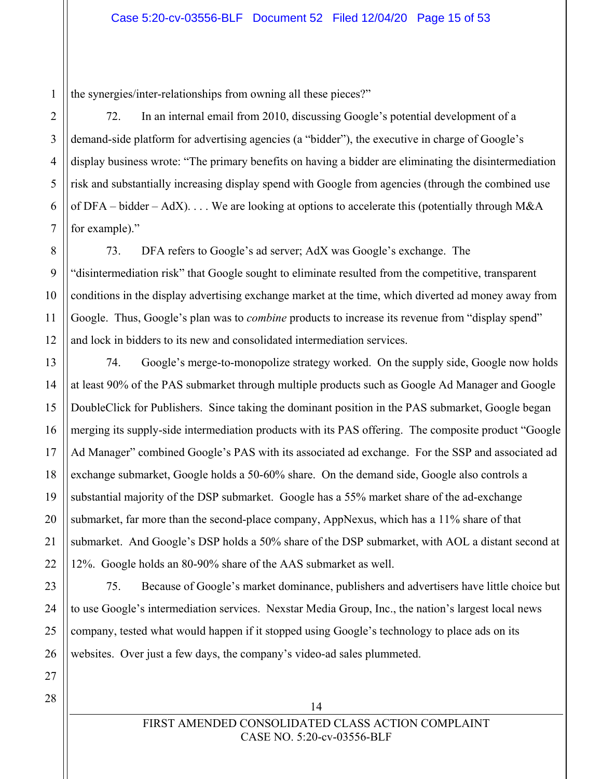the synergies/inter-relationships from owning all these pieces?"

72. In an internal email from 2010, discussing Google's potential development of a demand-side platform for advertising agencies (a "bidder"), the executive in charge of Google's display business wrote: "The primary benefits on having a bidder are eliminating the disintermediation risk and substantially increasing display spend with Google from agencies (through the combined use of DFA – bidder – AdX).... We are looking at options to accelerate this (potentially through M&A for example)."

73. DFA refers to Google's ad server; AdX was Google's exchange. The "disintermediation risk" that Google sought to eliminate resulted from the competitive, transparent conditions in the display advertising exchange market at the time, which diverted ad money away from Google. Thus, Google's plan was to *combine* products to increase its revenue from "display spend" and lock in bidders to its new and consolidated intermediation services.

74. Google's merge-to-monopolize strategy worked. On the supply side, Google now holds at least 90% of the PAS submarket through multiple products such as Google Ad Manager and Google DoubleClick for Publishers. Since taking the dominant position in the PAS submarket, Google began merging its supply-side intermediation products with its PAS offering. The composite product "Google Ad Manager" combined Google's PAS with its associated ad exchange. For the SSP and associated ad exchange submarket, Google holds a 50-60% share. On the demand side, Google also controls a substantial majority of the DSP submarket. Google has a 55% market share of the ad-exchange submarket, far more than the second-place company, AppNexus, which has a 11% share of that submarket. And Google's DSP holds a 50% share of the DSP submarket, with AOL a distant second at 12%. Google holds an 80-90% share of the AAS submarket as well.

75. Because of Google's market dominance, publishers and advertisers have little choice but to use Google's intermediation services. Nexstar Media Group, Inc., the nation's largest local news company, tested what would happen if it stopped using Google's technology to place ads on its websites. Over just a few days, the company's video-ad sales plummeted.

## FIRST AMENDED CONSOLIDATED CLASS ACTION COMPLAINT CASE NO. 5:20-cv-03556-BLF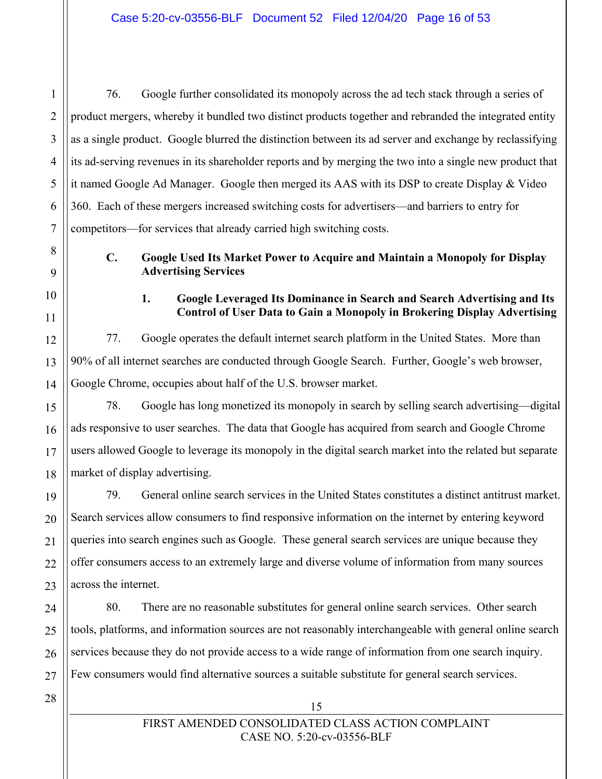76. Google further consolidated its monopoly across the ad tech stack through a series of product mergers, whereby it bundled two distinct products together and rebranded the integrated entity as a single product. Google blurred the distinction between its ad server and exchange by reclassifying its ad-serving revenues in its shareholder reports and by merging the two into a single new product that it named Google Ad Manager. Google then merged its AAS with its DSP to create Display & Video 360. Each of these mergers increased switching costs for advertisers—and barriers to entry for competitors—for services that already carried high switching costs.

## **C. Google Used Its Market Power to Acquire and Maintain a Monopoly for Display Advertising Services**

**1. Google Leveraged Its Dominance in Search and Search Advertising and Its Control of User Data to Gain a Monopoly in Brokering Display Advertising**

77. Google operates the default internet search platform in the United States. More than 90% of all internet searches are conducted through Google Search. Further, Google's web browser, Google Chrome, occupies about half of the U.S. browser market.

78. Google has long monetized its monopoly in search by selling search advertising—digital ads responsive to user searches. The data that Google has acquired from search and Google Chrome users allowed Google to leverage its monopoly in the digital search market into the related but separate market of display advertising.

79. General online search services in the United States constitutes a distinct antitrust market. Search services allow consumers to find responsive information on the internet by entering keyword queries into search engines such as Google. These general search services are unique because they offer consumers access to an extremely large and diverse volume of information from many sources across the internet.

80. There are no reasonable substitutes for general online search services. Other search tools, platforms, and information sources are not reasonably interchangeable with general online search services because they do not provide access to a wide range of information from one search inquiry. Few consumers would find alternative sources a suitable substitute for general search services.

28

1

 $\mathfrak{D}$ 

3

4

5

6

7

8

9

10

11

12

13

14

15

16

17

18

19

20

21

22

23

24

25

26

27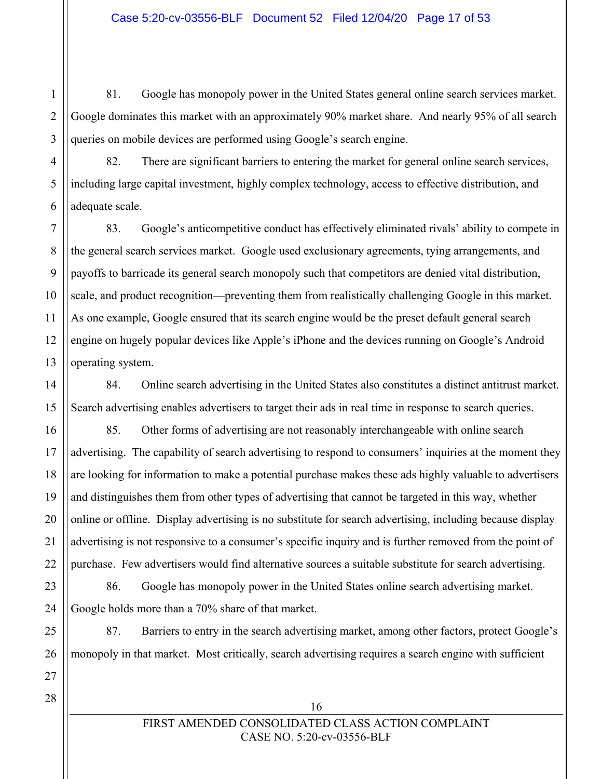81. Google has monopoly power in the United States general online search services market. Google dominates this market with an approximately 90% market share. And nearly 95% of all search queries on mobile devices are performed using Google's search engine.

82. There are significant barriers to entering the market for general online search services, including large capital investment, highly complex technology, access to effective distribution, and adequate scale.

83. Google's anticompetitive conduct has effectively eliminated rivals' ability to compete in the general search services market. Google used exclusionary agreements, tying arrangements, and payoffs to barricade its general search monopoly such that competitors are denied vital distribution, scale, and product recognition—preventing them from realistically challenging Google in this market. As one example, Google ensured that its search engine would be the preset default general search engine on hugely popular devices like Apple's iPhone and the devices running on Google's Android operating system.

84. Online search advertising in the United States also constitutes a distinct antitrust market. Search advertising enables advertisers to target their ads in real time in response to search queries.

85. Other forms of advertising are not reasonably interchangeable with online search advertising. The capability of search advertising to respond to consumers' inquiries at the moment they are looking for information to make a potential purchase makes these ads highly valuable to advertisers and distinguishes them from other types of advertising that cannot be targeted in this way, whether online or offline. Display advertising is no substitute for search advertising, including because display advertising is not responsive to a consumer's specific inquiry and is further removed from the point of purchase. Few advertisers would find alternative sources a suitable substitute for search advertising.

86. Google has monopoly power in the United States online search advertising market. Google holds more than a 70% share of that market.

87. Barriers to entry in the search advertising market, among other factors, protect Google's monopoly in that market. Most critically, search advertising requires a search engine with sufficient

16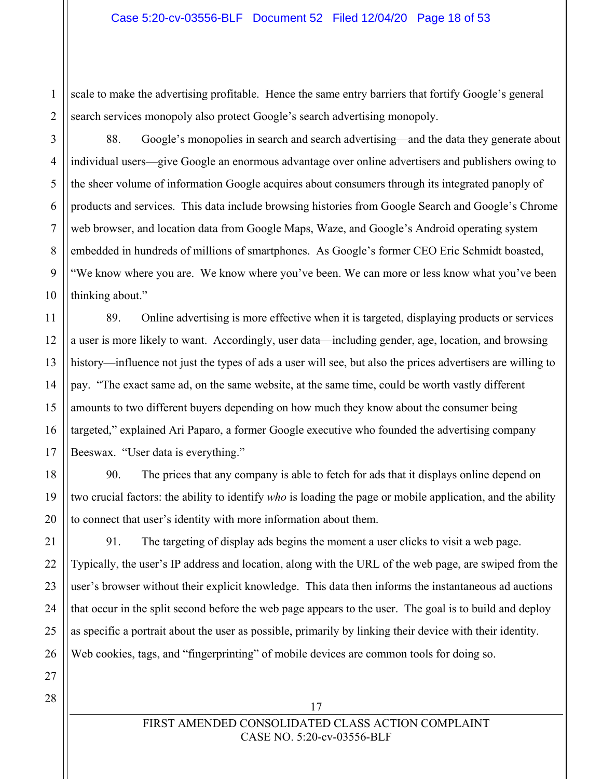scale to make the advertising profitable. Hence the same entry barriers that fortify Google's general search services monopoly also protect Google's search advertising monopoly.

88. Google's monopolies in search and search advertising—and the data they generate about individual users—give Google an enormous advantage over online advertisers and publishers owing to the sheer volume of information Google acquires about consumers through its integrated panoply of products and services. This data include browsing histories from Google Search and Google's Chrome web browser, and location data from Google Maps, Waze, and Google's Android operating system embedded in hundreds of millions of smartphones. As Google's former CEO Eric Schmidt boasted, "We know where you are. We know where you've been. We can more or less know what you've been thinking about."

89. Online advertising is more effective when it is targeted, displaying products or services a user is more likely to want. Accordingly, user data—including gender, age, location, and browsing history—influence not just the types of ads a user will see, but also the prices advertisers are willing to pay. "The exact same ad, on the same website, at the same time, could be worth vastly different amounts to two different buyers depending on how much they know about the consumer being targeted," explained Ari Paparo, a former Google executive who founded the advertising company Beeswax. "User data is everything."

90. The prices that any company is able to fetch for ads that it displays online depend on two crucial factors: the ability to identify *who* is loading the page or mobile application, and the ability to connect that user's identity with more information about them.

91. The targeting of display ads begins the moment a user clicks to visit a web page. Typically, the user's IP address and location, along with the URL of the web page, are swiped from the user's browser without their explicit knowledge. This data then informs the instantaneous ad auctions that occur in the split second before the web page appears to the user. The goal is to build and deploy as specific a portrait about the user as possible, primarily by linking their device with their identity. Web cookies, tags, and "fingerprinting" of mobile devices are common tools for doing so.

27 28

17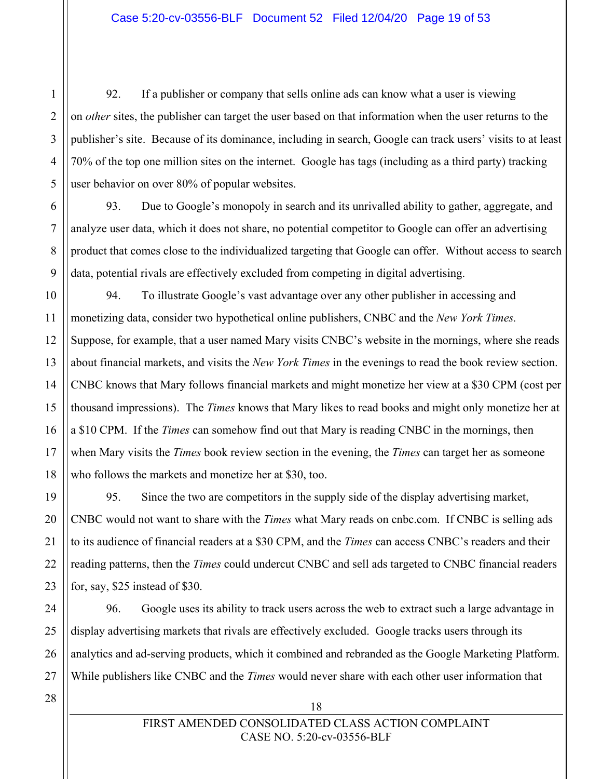92. If a publisher or company that sells online ads can know what a user is viewing on *other* sites, the publisher can target the user based on that information when the user returns to the publisher's site. Because of its dominance, including in search, Google can track users' visits to at least 70% of the top one million sites on the internet. Google has tags (including as a third party) tracking user behavior on over 80% of popular websites.

93. Due to Google's monopoly in search and its unrivalled ability to gather, aggregate, and analyze user data, which it does not share, no potential competitor to Google can offer an advertising product that comes close to the individualized targeting that Google can offer. Without access to search data, potential rivals are effectively excluded from competing in digital advertising.

94. To illustrate Google's vast advantage over any other publisher in accessing and monetizing data, consider two hypothetical online publishers, CNBC and the *New York Times.* Suppose, for example, that a user named Mary visits CNBC's website in the mornings, where she reads about financial markets, and visits the *New York Times* in the evenings to read the book review section. CNBC knows that Mary follows financial markets and might monetize her view at a \$30 CPM (cost per thousand impressions). The *Times* knows that Mary likes to read books and might only monetize her at a \$10 CPM. If the *Times* can somehow find out that Mary is reading CNBC in the mornings, then when Mary visits the *Times* book review section in the evening, the *Times* can target her as someone who follows the markets and monetize her at \$30, too.

95. Since the two are competitors in the supply side of the display advertising market, CNBC would not want to share with the *Times* what Mary reads on cnbc.com. If CNBC is selling ads to its audience of financial readers at a \$30 CPM, and the *Times* can access CNBC's readers and their reading patterns, then the *Times* could undercut CNBC and sell ads targeted to CNBC financial readers for, say, \$25 instead of \$30.

96. Google uses its ability to track users across the web to extract such a large advantage in display advertising markets that rivals are effectively excluded. Google tracks users through its analytics and ad-serving products, which it combined and rebranded as the Google Marketing Platform. While publishers like CNBC and the *Times* would never share with each other user information that

28

1

 $\mathfrak{D}$ 

3

4

5

6

7

8

9

10

11

12

13

14

15

16

17

18

19

20

21

22

23

24

25

26

27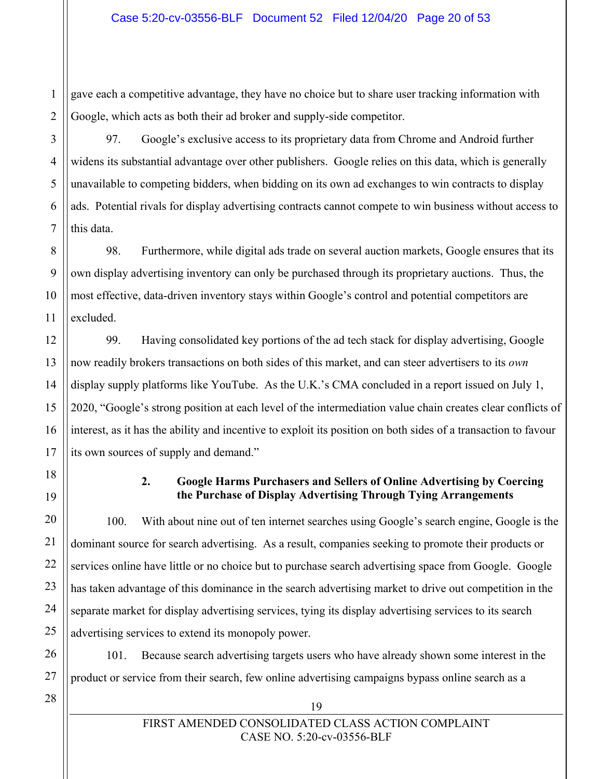gave each a competitive advantage, they have no choice but to share user tracking information with Google, which acts as both their ad broker and supply-side competitor.

97. Google's exclusive access to its proprietary data from Chrome and Android further widens its substantial advantage over other publishers. Google relies on this data, which is generally unavailable to competing bidders, when bidding on its own ad exchanges to win contracts to display ads. Potential rivals for display advertising contracts cannot compete to win business without access to this data.

98. Furthermore, while digital ads trade on several auction markets, Google ensures that its own display advertising inventory can only be purchased through its proprietary auctions. Thus, the most effective, data-driven inventory stays within Google's control and potential competitors are excluded.

99. Having consolidated key portions of the ad tech stack for display advertising, Google now readily brokers transactions on both sides of this market, and can steer advertisers to its *own* display supply platforms like YouTube. As the U.K.'s CMA concluded in a report issued on July 1, 2020, "Google's strong position at each level of the intermediation value chain creates clear conflicts of interest, as it has the ability and incentive to exploit its position on both sides of a transaction to favour its own sources of supply and demand."

### **2. Google Harms Purchasers and Sellers of Online Advertising by Coercing the Purchase of Display Advertising Through Tying Arrangements**

100. With about nine out of ten internet searches using Google's search engine, Google is the dominant source for search advertising. As a result, companies seeking to promote their products or services online have little or no choice but to purchase search advertising space from Google. Google has taken advantage of this dominance in the search advertising market to drive out competition in the separate market for display advertising services, tying its display advertising services to its search advertising services to extend its monopoly power.

101. Because search advertising targets users who have already shown some interest in the product or service from their search, few online advertising campaigns bypass online search as a

19

1

 $\overline{2}$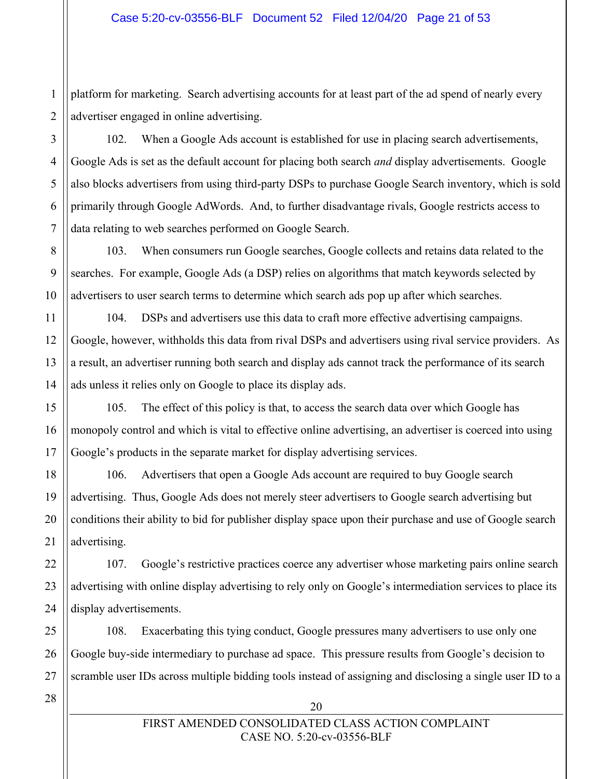$\mathfrak{D}$ platform for marketing. Search advertising accounts for at least part of the ad spend of nearly every advertiser engaged in online advertising.

102. When a Google Ads account is established for use in placing search advertisements, Google Ads is set as the default account for placing both search *and* display advertisements. Google also blocks advertisers from using third-party DSPs to purchase Google Search inventory, which is sold primarily through Google AdWords. And, to further disadvantage rivals, Google restricts access to data relating to web searches performed on Google Search.

103. When consumers run Google searches, Google collects and retains data related to the searches. For example, Google Ads (a DSP) relies on algorithms that match keywords selected by advertisers to user search terms to determine which search ads pop up after which searches.

104. DSPs and advertisers use this data to craft more effective advertising campaigns. Google, however, withholds this data from rival DSPs and advertisers using rival service providers. As a result, an advertiser running both search and display ads cannot track the performance of its search ads unless it relies only on Google to place its display ads.

105. The effect of this policy is that, to access the search data over which Google has monopoly control and which is vital to effective online advertising, an advertiser is coerced into using Google's products in the separate market for display advertising services.

106. Advertisers that open a Google Ads account are required to buy Google search advertising. Thus, Google Ads does not merely steer advertisers to Google search advertising but conditions their ability to bid for publisher display space upon their purchase and use of Google search advertising.

107. Google's restrictive practices coerce any advertiser whose marketing pairs online search advertising with online display advertising to rely only on Google's intermediation services to place its display advertisements.

25 26 27 108. Exacerbating this tying conduct, Google pressures many advertisers to use only one Google buy-side intermediary to purchase ad space. This pressure results from Google's decision to scramble user IDs across multiple bidding tools instead of assigning and disclosing a single user ID to a

28

1

3

4

5

6

7

8

9

10

11

12

13

14

15

16

17

18

19

20

21

22

23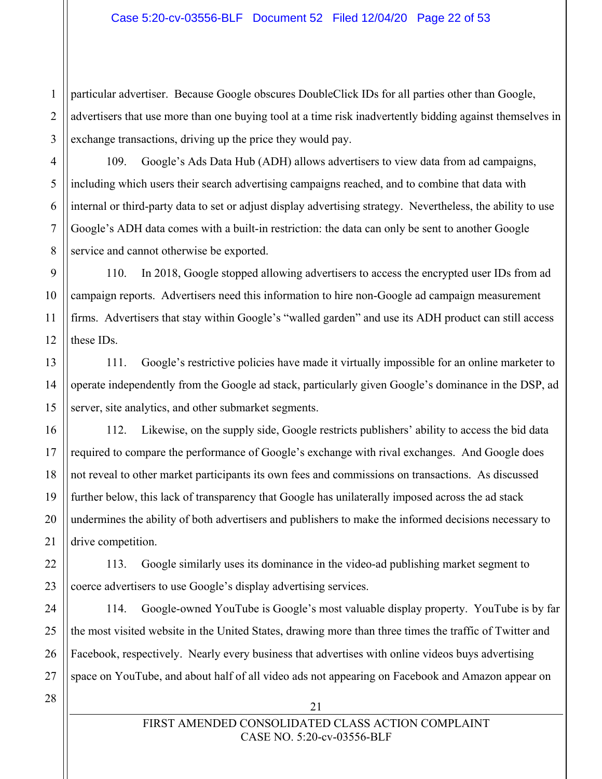1  $\mathfrak{D}$ 3 particular advertiser. Because Google obscures DoubleClick IDs for all parties other than Google, advertisers that use more than one buying tool at a time risk inadvertently bidding against themselves in exchange transactions, driving up the price they would pay.

109. Google's Ads Data Hub (ADH) allows advertisers to view data from ad campaigns, including which users their search advertising campaigns reached, and to combine that data with internal or third-party data to set or adjust display advertising strategy. Nevertheless, the ability to use Google's ADH data comes with a built-in restriction: the data can only be sent to another Google service and cannot otherwise be exported.

110. In 2018, Google stopped allowing advertisers to access the encrypted user IDs from ad campaign reports. Advertisers need this information to hire non-Google ad campaign measurement firms. Advertisers that stay within Google's "walled garden" and use its ADH product can still access these IDs.

111. Google's restrictive policies have made it virtually impossible for an online marketer to operate independently from the Google ad stack, particularly given Google's dominance in the DSP, ad server, site analytics, and other submarket segments.

112. Likewise, on the supply side, Google restricts publishers' ability to access the bid data required to compare the performance of Google's exchange with rival exchanges. And Google does not reveal to other market participants its own fees and commissions on transactions. As discussed further below, this lack of transparency that Google has unilaterally imposed across the ad stack undermines the ability of both advertisers and publishers to make the informed decisions necessary to drive competition.

113. Google similarly uses its dominance in the video-ad publishing market segment to coerce advertisers to use Google's display advertising services.

114. Google-owned YouTube is Google's most valuable display property. YouTube is by far the most visited website in the United States, drawing more than three times the traffic of Twitter and Facebook, respectively. Nearly every business that advertises with online videos buys advertising space on YouTube, and about half of all video ads not appearing on Facebook and Amazon appear on

28

4

5

6

7

8

9

10

11

12

13

14

15

16

17

18

19

20

21

22

23

24

25

26

27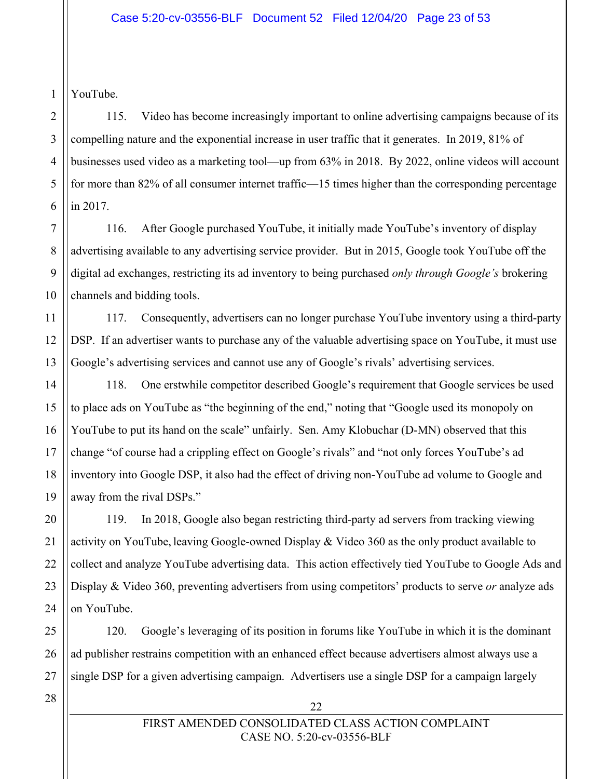1 YouTube.

 $\mathfrak{D}$ 

3

4

5

6

7

8

9

10

11

12

13

14

15

16

17

18

19

20

21

22

23

24

25

26

27

115. Video has become increasingly important to online advertising campaigns because of its compelling nature and the exponential increase in user traffic that it generates. In 2019, 81% of businesses used video as a marketing tool—up from 63% in 2018. By 2022, online videos will account for more than 82% of all consumer internet traffic—15 times higher than the corresponding percentage in 2017.

116. After Google purchased YouTube, it initially made YouTube's inventory of display advertising available to any advertising service provider. But in 2015, Google took YouTube off the digital ad exchanges, restricting its ad inventory to being purchased *only through Google's* brokering channels and bidding tools.

117. Consequently, advertisers can no longer purchase YouTube inventory using a third-party DSP. If an advertiser wants to purchase any of the valuable advertising space on YouTube, it must use Google's advertising services and cannot use any of Google's rivals' advertising services.

118. One erstwhile competitor described Google's requirement that Google services be used to place ads on YouTube as "the beginning of the end," noting that "Google used its monopoly on YouTube to put its hand on the scale" unfairly. Sen. Amy Klobuchar (D-MN) observed that this change "of course had a crippling effect on Google's rivals" and "not only forces YouTube's ad inventory into Google DSP, it also had the effect of driving non-YouTube ad volume to Google and away from the rival DSPs."

119. In 2018, Google also began restricting third-party ad servers from tracking viewing activity on YouTube, leaving Google-owned Display & Video 360 as the only product available to collect and analyze YouTube advertising data. This action effectively tied YouTube to Google Ads and Display & Video 360, preventing advertisers from using competitors' products to serve *or* analyze ads on YouTube.

120. Google's leveraging of its position in forums like YouTube in which it is the dominant ad publisher restrains competition with an enhanced effect because advertisers almost always use a single DSP for a given advertising campaign. Advertisers use a single DSP for a campaign largely

28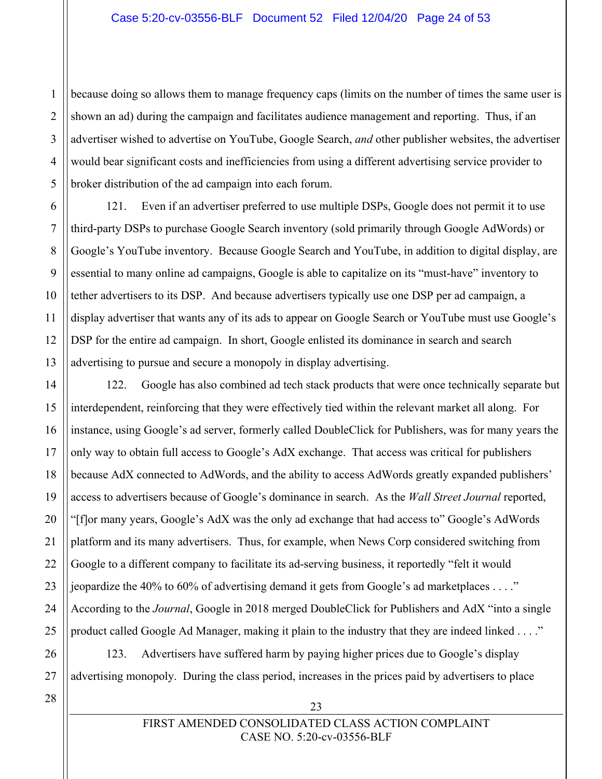3 4 because doing so allows them to manage frequency caps (limits on the number of times the same user is shown an ad) during the campaign and facilitates audience management and reporting. Thus, if an advertiser wished to advertise on YouTube, Google Search, *and* other publisher websites, the advertiser would bear significant costs and inefficiencies from using a different advertising service provider to broker distribution of the ad campaign into each forum.

121. Even if an advertiser preferred to use multiple DSPs, Google does not permit it to use third-party DSPs to purchase Google Search inventory (sold primarily through Google AdWords) or Google's YouTube inventory. Because Google Search and YouTube, in addition to digital display, are essential to many online ad campaigns, Google is able to capitalize on its "must-have" inventory to tether advertisers to its DSP. And because advertisers typically use one DSP per ad campaign, a display advertiser that wants any of its ads to appear on Google Search or YouTube must use Google's DSP for the entire ad campaign. In short, Google enlisted its dominance in search and search advertising to pursue and secure a monopoly in display advertising.

122. Google has also combined ad tech stack products that were once technically separate but interdependent, reinforcing that they were effectively tied within the relevant market all along. For instance, using Google's ad server, formerly called DoubleClick for Publishers, was for many years the only way to obtain full access to Google's AdX exchange. That access was critical for publishers because AdX connected to AdWords, and the ability to access AdWords greatly expanded publishers' access to advertisers because of Google's dominance in search. As the *Wall Street Journal* reported, "[f]or many years, Google's AdX was the only ad exchange that had access to" Google's AdWords platform and its many advertisers. Thus, for example, when News Corp considered switching from Google to a different company to facilitate its ad-serving business, it reportedly "felt it would jeopardize the 40% to 60% of advertising demand it gets from Google's ad marketplaces . . . ." According to the *Journal*, Google in 2018 merged DoubleClick for Publishers and AdX "into a single product called Google Ad Manager, making it plain to the industry that they are indeed linked . . . ."

123. Advertisers have suffered harm by paying higher prices due to Google's display advertising monopoly. During the class period, increases in the prices paid by advertisers to place

28

1

 $\mathfrak{D}$ 

5

6

7

8

9

10

11

12

13

14

15

16

17

18

19

20

21

22

23

24

25

26

27

CASE NO. 5:20-cv-03556-BLF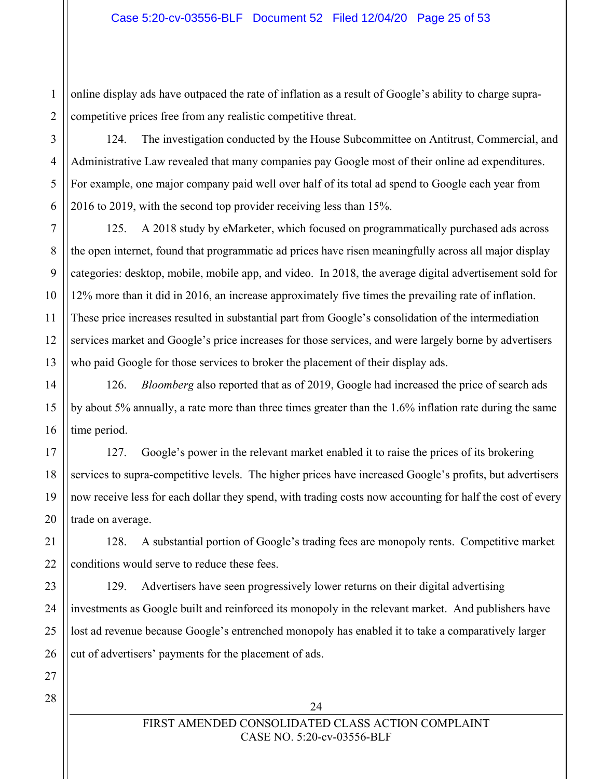$\overline{2}$ online display ads have outpaced the rate of inflation as a result of Google's ability to charge supracompetitive prices free from any realistic competitive threat.

124. The investigation conducted by the House Subcommittee on Antitrust, Commercial, and Administrative Law revealed that many companies pay Google most of their online ad expenditures. For example, one major company paid well over half of its total ad spend to Google each year from 2016 to 2019, with the second top provider receiving less than 15%.

125. A 2018 study by eMarketer, which focused on programmatically purchased ads across the open internet, found that programmatic ad prices have risen meaningfully across all major display categories: desktop, mobile, mobile app, and video. In 2018, the average digital advertisement sold for 12% more than it did in 2016, an increase approximately five times the prevailing rate of inflation. These price increases resulted in substantial part from Google's consolidation of the intermediation services market and Google's price increases for those services, and were largely borne by advertisers who paid Google for those services to broker the placement of their display ads.

126. *Bloomberg* also reported that as of 2019, Google had increased the price of search ads by about 5% annually, a rate more than three times greater than the 1.6% inflation rate during the same time period.

127. Google's power in the relevant market enabled it to raise the prices of its brokering services to supra-competitive levels. The higher prices have increased Google's profits, but advertisers now receive less for each dollar they spend, with trading costs now accounting for half the cost of every trade on average.

128. A substantial portion of Google's trading fees are monopoly rents. Competitive market conditions would serve to reduce these fees.

129. Advertisers have seen progressively lower returns on their digital advertising investments as Google built and reinforced its monopoly in the relevant market. And publishers have lost ad revenue because Google's entrenched monopoly has enabled it to take a comparatively larger cut of advertisers' payments for the placement of ads.

28

1

3

4

5

6

7

8

9

10

11

12

13

14

15

16

17

18

19

20

21

24

## FIRST AMENDED CONSOLIDATED CLASS ACTION COMPLAINT CASE NO. 5:20-cv-03556-BLF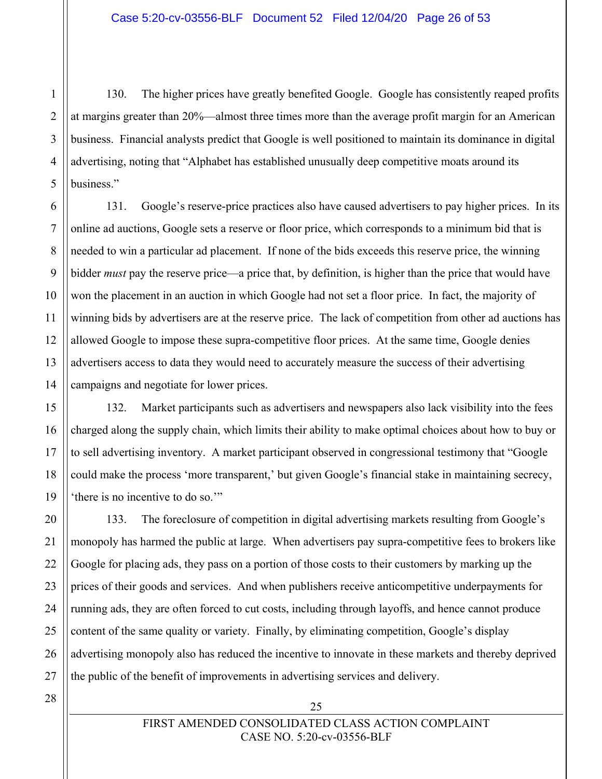130. The higher prices have greatly benefited Google. Google has consistently reaped profits at margins greater than 20%—almost three times more than the average profit margin for an American business. Financial analysts predict that Google is well positioned to maintain its dominance in digital advertising, noting that "Alphabet has established unusually deep competitive moats around its business."

131. Google's reserve-price practices also have caused advertisers to pay higher prices. In its online ad auctions, Google sets a reserve or floor price, which corresponds to a minimum bid that is needed to win a particular ad placement. If none of the bids exceeds this reserve price, the winning bidder *must* pay the reserve price—a price that, by definition, is higher than the price that would have won the placement in an auction in which Google had not set a floor price. In fact, the majority of winning bids by advertisers are at the reserve price. The lack of competition from other ad auctions has allowed Google to impose these supra-competitive floor prices. At the same time, Google denies advertisers access to data they would need to accurately measure the success of their advertising campaigns and negotiate for lower prices.

132. Market participants such as advertisers and newspapers also lack visibility into the fees charged along the supply chain, which limits their ability to make optimal choices about how to buy or to sell advertising inventory. A market participant observed in congressional testimony that "Google could make the process 'more transparent,' but given Google's financial stake in maintaining secrecy, 'there is no incentive to do so.'"

133. The foreclosure of competition in digital advertising markets resulting from Google's monopoly has harmed the public at large. When advertisers pay supra-competitive fees to brokers like Google for placing ads, they pass on a portion of those costs to their customers by marking up the prices of their goods and services. And when publishers receive anticompetitive underpayments for running ads, they are often forced to cut costs, including through layoffs, and hence cannot produce content of the same quality or variety. Finally, by eliminating competition, Google's display advertising monopoly also has reduced the incentive to innovate in these markets and thereby deprived the public of the benefit of improvements in advertising services and delivery.

1

 $\mathfrak{D}$ 

3

4

5

6

7

8

9

10

11

12

13

14

15

16

17

18

19

20

21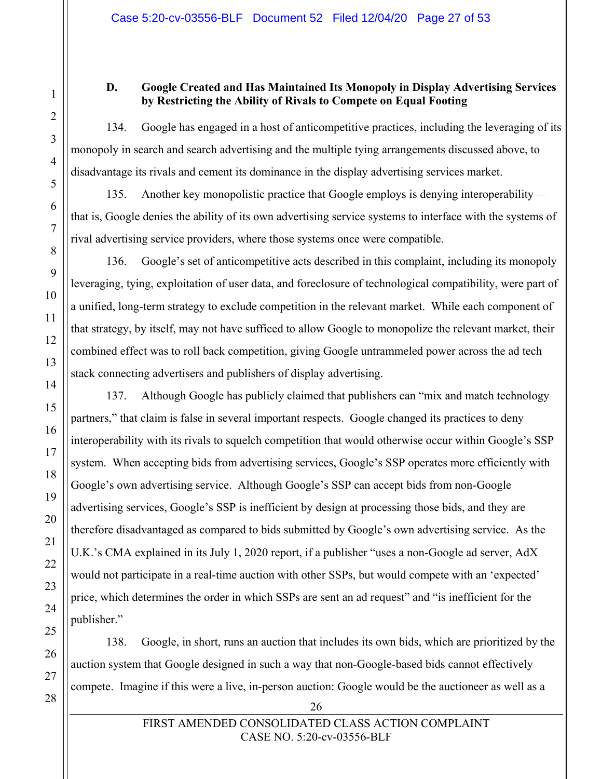#### **D. Google Created and Has Maintained Its Monopoly in Display Advertising Services by Restricting the Ability of Rivals to Compete on Equal Footing**

134. Google has engaged in a host of anticompetitive practices, including the leveraging of its monopoly in search and search advertising and the multiple tying arrangements discussed above, to disadvantage its rivals and cement its dominance in the display advertising services market.

135. Another key monopolistic practice that Google employs is denying interoperability that is, Google denies the ability of its own advertising service systems to interface with the systems of rival advertising service providers, where those systems once were compatible.

136. Google's set of anticompetitive acts described in this complaint, including its monopoly leveraging, tying, exploitation of user data, and foreclosure of technological compatibility, were part of a unified, long-term strategy to exclude competition in the relevant market. While each component of that strategy, by itself, may not have sufficed to allow Google to monopolize the relevant market, their combined effect was to roll back competition, giving Google untrammeled power across the ad tech stack connecting advertisers and publishers of display advertising.

137. Although Google has publicly claimed that publishers can "mix and match technology partners," that claim is false in several important respects. Google changed its practices to deny interoperability with its rivals to squelch competition that would otherwise occur within Google's SSP system. When accepting bids from advertising services, Google's SSP operates more efficiently with Google's own advertising service. Although Google's SSP can accept bids from non-Google advertising services, Google's SSP is inefficient by design at processing those bids, and they are therefore disadvantaged as compared to bids submitted by Google's own advertising service. As the U.K.'s CMA explained in its July 1, 2020 report, if a publisher "uses a non-Google ad server, AdX would not participate in a real-time auction with other SSPs, but would compete with an 'expected' price, which determines the order in which SSPs are sent an ad request" and "is inefficient for the publisher."

138. Google, in short, runs an auction that includes its own bids, which are prioritized by the auction system that Google designed in such a way that non-Google-based bids cannot effectively compete. Imagine if this were a live, in-person auction: Google would be the auctioneer as well as a

1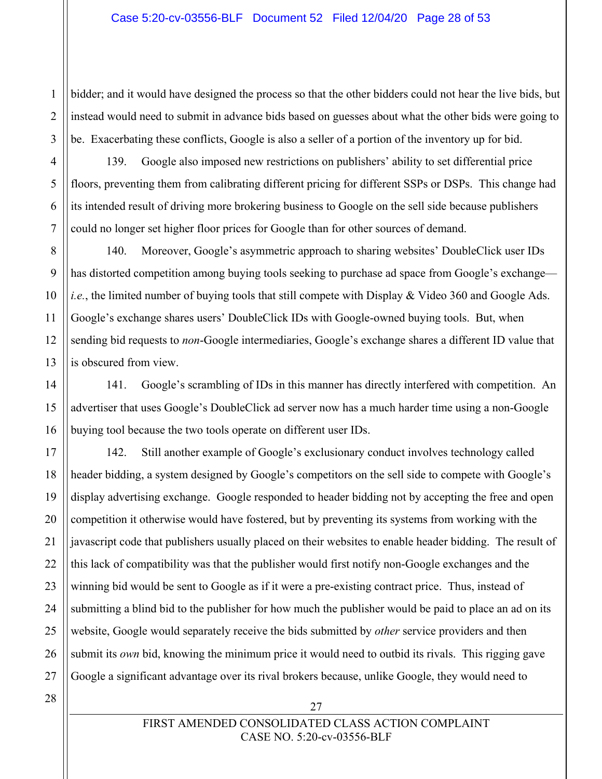bidder; and it would have designed the process so that the other bidders could not hear the live bids, but instead would need to submit in advance bids based on guesses about what the other bids were going to be. Exacerbating these conflicts, Google is also a seller of a portion of the inventory up for bid.

139. Google also imposed new restrictions on publishers' ability to set differential price floors, preventing them from calibrating different pricing for different SSPs or DSPs. This change had its intended result of driving more brokering business to Google on the sell side because publishers could no longer set higher floor prices for Google than for other sources of demand.

140. Moreover, Google's asymmetric approach to sharing websites' DoubleClick user IDs has distorted competition among buying tools seeking to purchase ad space from Google's exchange *i.e.*, the limited number of buying tools that still compete with Display & Video 360 and Google Ads. Google's exchange shares users' DoubleClick IDs with Google-owned buying tools. But, when sending bid requests to *non*-Google intermediaries, Google's exchange shares a different ID value that is obscured from view.

141. Google's scrambling of IDs in this manner has directly interfered with competition. An advertiser that uses Google's DoubleClick ad server now has a much harder time using a non-Google buying tool because the two tools operate on different user IDs.

17 18 19 20 22 23 24 25 26 27 142. Still another example of Google's exclusionary conduct involves technology called header bidding, a system designed by Google's competitors on the sell side to compete with Google's display advertising exchange. Google responded to header bidding not by accepting the free and open competition it otherwise would have fostered, but by preventing its systems from working with the javascript code that publishers usually placed on their websites to enable header bidding. The result of this lack of compatibility was that the publisher would first notify non-Google exchanges and the winning bid would be sent to Google as if it were a pre-existing contract price. Thus, instead of submitting a blind bid to the publisher for how much the publisher would be paid to place an ad on its website, Google would separately receive the bids submitted by *other* service providers and then submit its *own* bid, knowing the minimum price it would need to outbid its rivals. This rigging gave Google a significant advantage over its rival brokers because, unlike Google, they would need to

28

1

 $\mathfrak{D}$ 

3

4

5

6

7

8

9

10

11

12

13

14

15

16

21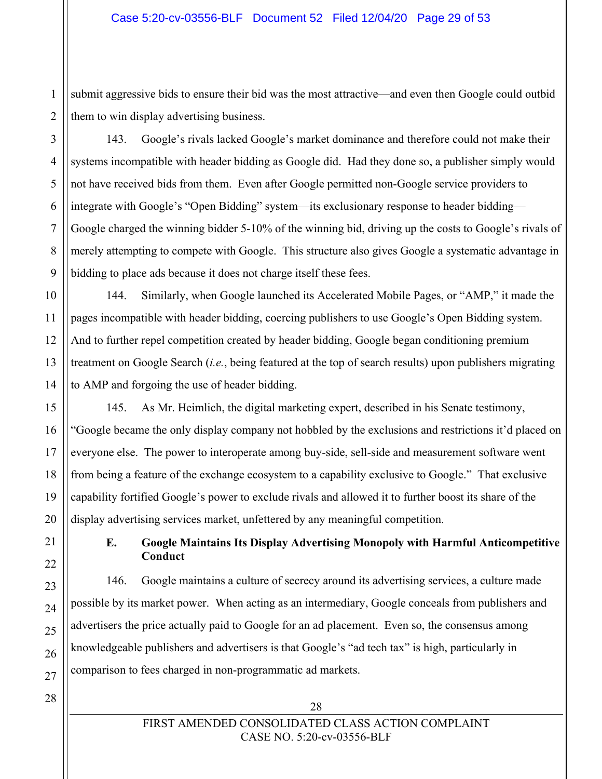$\overline{2}$ submit aggressive bids to ensure their bid was the most attractive—and even then Google could outbid them to win display advertising business.

143. Google's rivals lacked Google's market dominance and therefore could not make their systems incompatible with header bidding as Google did. Had they done so, a publisher simply would not have received bids from them. Even after Google permitted non-Google service providers to integrate with Google's "Open Bidding" system—its exclusionary response to header bidding— Google charged the winning bidder 5-10% of the winning bid, driving up the costs to Google's rivals of merely attempting to compete with Google. This structure also gives Google a systematic advantage in bidding to place ads because it does not charge itself these fees.

144. Similarly, when Google launched its Accelerated Mobile Pages, or "AMP," it made the pages incompatible with header bidding, coercing publishers to use Google's Open Bidding system. And to further repel competition created by header bidding, Google began conditioning premium treatment on Google Search (*i.e.*, being featured at the top of search results) upon publishers migrating to AMP and forgoing the use of header bidding.

145. As Mr. Heimlich, the digital marketing expert, described in his Senate testimony, "Google became the only display company not hobbled by the exclusions and restrictions it'd placed on everyone else. The power to interoperate among buy-side, sell-side and measurement software went from being a feature of the exchange ecosystem to a capability exclusive to Google." That exclusive capability fortified Google's power to exclude rivals and allowed it to further boost its share of the display advertising services market, unfettered by any meaningful competition.

## **E. Google Maintains Its Display Advertising Monopoly with Harmful Anticompetitive Conduct**

146. Google maintains a culture of secrecy around its advertising services, a culture made possible by its market power. When acting as an intermediary, Google conceals from publishers and advertisers the price actually paid to Google for an ad placement. Even so, the consensus among knowledgeable publishers and advertisers is that Google's "ad tech tax" is high, particularly in comparison to fees charged in non-programmatic ad markets.

1

## FIRST AMENDED CONSOLIDATED CLASS ACTION COMPLAINT CASE NO. 5:20-cv-03556-BLF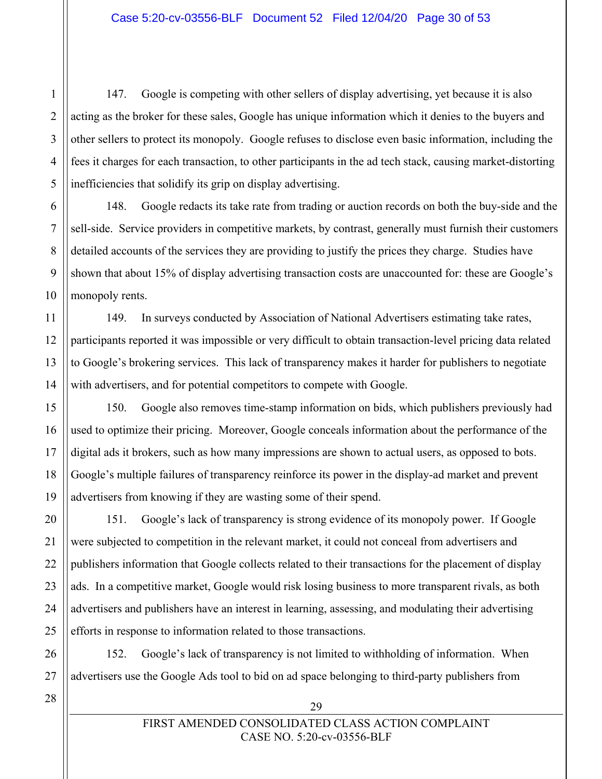147. Google is competing with other sellers of display advertising, yet because it is also acting as the broker for these sales, Google has unique information which it denies to the buyers and other sellers to protect its monopoly. Google refuses to disclose even basic information, including the fees it charges for each transaction, to other participants in the ad tech stack, causing market-distorting inefficiencies that solidify its grip on display advertising.

148. Google redacts its take rate from trading or auction records on both the buy-side and the sell-side. Service providers in competitive markets, by contrast, generally must furnish their customers detailed accounts of the services they are providing to justify the prices they charge. Studies have shown that about 15% of display advertising transaction costs are unaccounted for: these are Google's monopoly rents.

149. In surveys conducted by Association of National Advertisers estimating take rates, participants reported it was impossible or very difficult to obtain transaction-level pricing data related to Google's brokering services. This lack of transparency makes it harder for publishers to negotiate with advertisers, and for potential competitors to compete with Google.

150. Google also removes time-stamp information on bids, which publishers previously had used to optimize their pricing. Moreover, Google conceals information about the performance of the digital ads it brokers, such as how many impressions are shown to actual users, as opposed to bots. Google's multiple failures of transparency reinforce its power in the display-ad market and prevent advertisers from knowing if they are wasting some of their spend.

151. Google's lack of transparency is strong evidence of its monopoly power. If Google were subjected to competition in the relevant market, it could not conceal from advertisers and publishers information that Google collects related to their transactions for the placement of display ads. In a competitive market, Google would risk losing business to more transparent rivals, as both advertisers and publishers have an interest in learning, assessing, and modulating their advertising efforts in response to information related to those transactions.

152. Google's lack of transparency is not limited to withholding of information. When advertisers use the Google Ads tool to bid on ad space belonging to third-party publishers from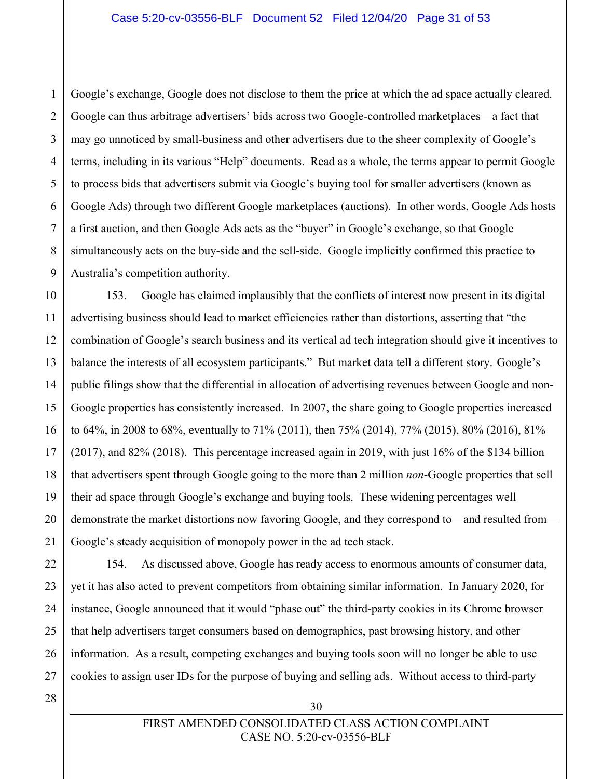4 6 Google's exchange, Google does not disclose to them the price at which the ad space actually cleared. Google can thus arbitrage advertisers' bids across two Google-controlled marketplaces—a fact that may go unnoticed by small-business and other advertisers due to the sheer complexity of Google's terms, including in its various "Help" documents. Read as a whole, the terms appear to permit Google to process bids that advertisers submit via Google's buying tool for smaller advertisers (known as Google Ads) through two different Google marketplaces (auctions). In other words, Google Ads hosts a first auction, and then Google Ads acts as the "buyer" in Google's exchange, so that Google simultaneously acts on the buy-side and the sell-side. Google implicitly confirmed this practice to Australia's competition authority.

10 13 14 15 16 18 19 20 153. Google has claimed implausibly that the conflicts of interest now present in its digital advertising business should lead to market efficiencies rather than distortions, asserting that "the combination of Google's search business and its vertical ad tech integration should give it incentives to balance the interests of all ecosystem participants." But market data tell a different story. Google's public filings show that the differential in allocation of advertising revenues between Google and non-Google properties has consistently increased. In 2007, the share going to Google properties increased to 64%, in 2008 to 68%, eventually to 71% (2011), then 75% (2014), 77% (2015), 80% (2016), 81% (2017), and 82% (2018). This percentage increased again in 2019, with just 16% of the \$134 billion that advertisers spent through Google going to the more than 2 million *non*-Google properties that sell their ad space through Google's exchange and buying tools. These widening percentages well demonstrate the market distortions now favoring Google, and they correspond to—and resulted from— Google's steady acquisition of monopoly power in the ad tech stack.

154. As discussed above, Google has ready access to enormous amounts of consumer data, yet it has also acted to prevent competitors from obtaining similar information. In January 2020, for instance, Google announced that it would "phase out" the third-party cookies in its Chrome browser that help advertisers target consumers based on demographics, past browsing history, and other information. As a result, competing exchanges and buying tools soon will no longer be able to use cookies to assign user IDs for the purpose of buying and selling ads. Without access to third-party

28

1

 $\mathfrak{D}$ 

3

5

7

8

9

11

12

17

21

22

23

24

25

26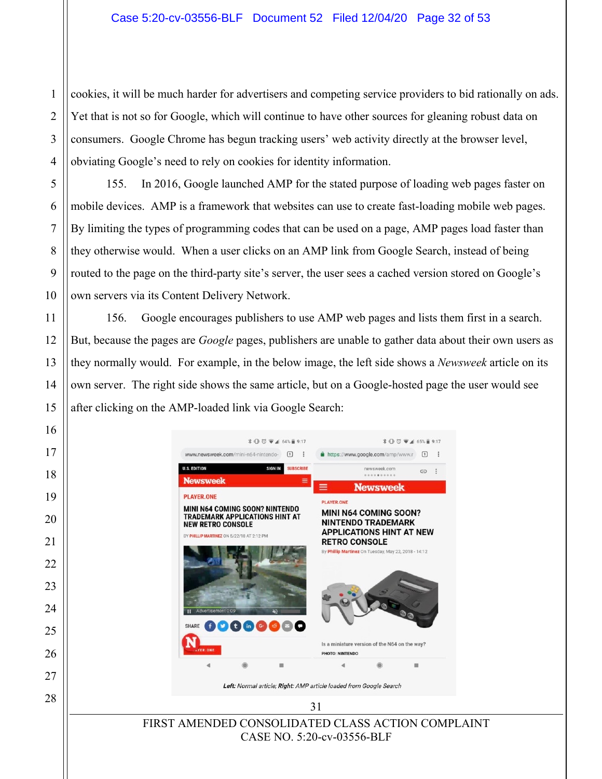cookies, it will be much harder for advertisers and competing service providers to bid rationally on ads. Yet that is not so for Google, which will continue to have other sources for gleaning robust data on consumers. Google Chrome has begun tracking users' web activity directly at the browser level, obviating Google's need to rely on cookies for identity information.

1

 $\mathcal{D}_{\mathcal{L}}$ 

3

4

5

6

7

8

9

10

11

12

13

14

15

16

17

18

19

20

21

22

23

24

25

26

27

28

155. In 2016, Google launched AMP for the stated purpose of loading web pages faster on mobile devices. AMP is a framework that websites can use to create fast-loading mobile web pages. By limiting the types of programming codes that can be used on a page, AMP pages load faster than they otherwise would. When a user clicks on an AMP link from Google Search, instead of being routed to the page on the third-party site's server, the user sees a cached version stored on Google's own servers via its Content Delivery Network.

156. Google encourages publishers to use AMP web pages and lists them first in a search. But, because the pages are *Google* pages, publishers are unable to gather data about their own users as they normally would. For example, in the below image, the left side shows a *Newsweek* article on its own server. The right side shows the same article, but on a Google-hosted page the user would see after clicking on the AMP-loaded link via Google Search:

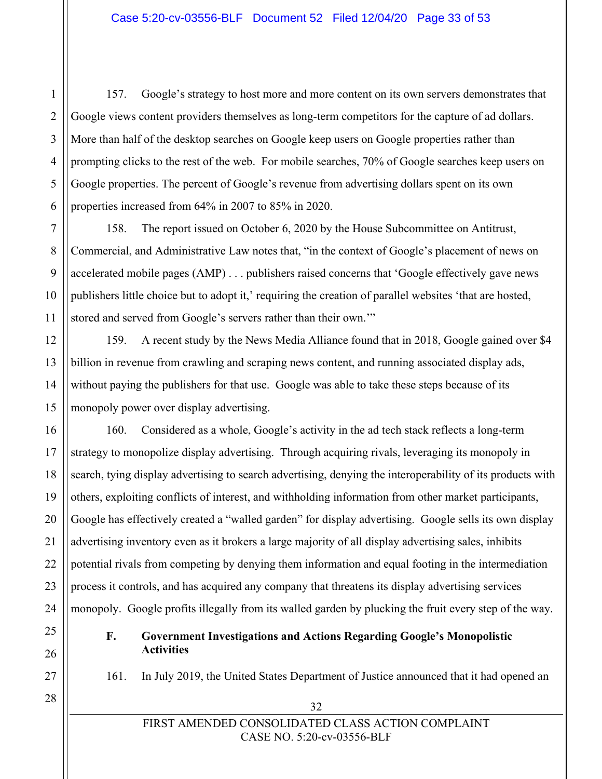157. Google's strategy to host more and more content on its own servers demonstrates that Google views content providers themselves as long-term competitors for the capture of ad dollars. More than half of the desktop searches on Google keep users on Google properties rather than prompting clicks to the rest of the web. For mobile searches, 70% of Google searches keep users on Google properties. The percent of Google's revenue from advertising dollars spent on its own properties increased from 64% in 2007 to 85% in 2020.

158. The report issued on October 6, 2020 by the House Subcommittee on Antitrust, Commercial, and Administrative Law notes that, "in the context of Google's placement of news on accelerated mobile pages (AMP) . . . publishers raised concerns that 'Google effectively gave news publishers little choice but to adopt it,' requiring the creation of parallel websites 'that are hosted, stored and served from Google's servers rather than their own.'"

159. A recent study by the News Media Alliance found that in 2018, Google gained over \$4 billion in revenue from crawling and scraping news content, and running associated display ads, without paying the publishers for that use. Google was able to take these steps because of its monopoly power over display advertising.

160. Considered as a whole, Google's activity in the ad tech stack reflects a long-term strategy to monopolize display advertising. Through acquiring rivals, leveraging its monopoly in search, tying display advertising to search advertising, denying the interoperability of its products with others, exploiting conflicts of interest, and withholding information from other market participants, Google has effectively created a "walled garden" for display advertising. Google sells its own display advertising inventory even as it brokers a large majority of all display advertising sales, inhibits potential rivals from competing by denying them information and equal footing in the intermediation process it controls, and has acquired any company that threatens its display advertising services monopoly. Google profits illegally from its walled garden by plucking the fruit every step of the way.

## **F. Government Investigations and Actions Regarding Google's Monopolistic Activities**

161. In July 2019, the United States Department of Justice announced that it had opened an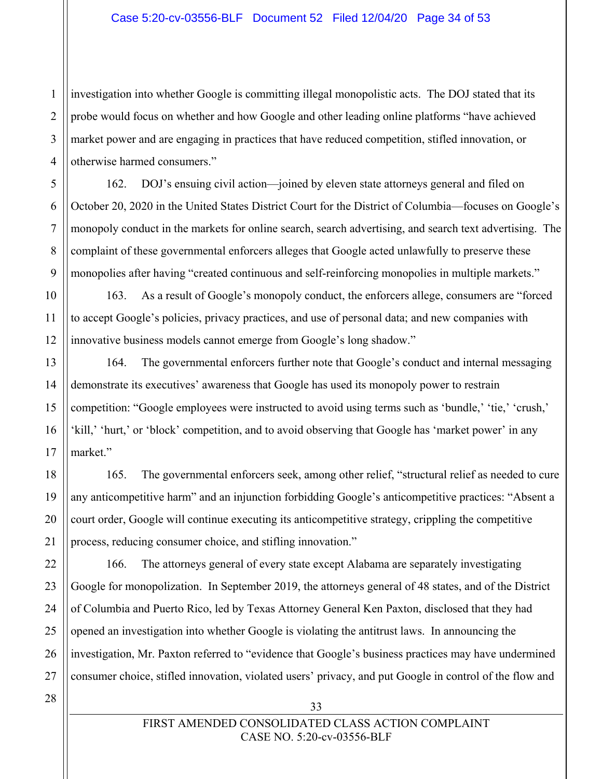4 investigation into whether Google is committing illegal monopolistic acts. The DOJ stated that its probe would focus on whether and how Google and other leading online platforms "have achieved market power and are engaging in practices that have reduced competition, stifled innovation, or otherwise harmed consumers."

162. DOJ's ensuing civil action—joined by eleven state attorneys general and filed on October 20, 2020 in the United States District Court for the District of Columbia—focuses on Google's monopoly conduct in the markets for online search, search advertising, and search text advertising. The complaint of these governmental enforcers alleges that Google acted unlawfully to preserve these monopolies after having "created continuous and self-reinforcing monopolies in multiple markets."

10 12 163. As a result of Google's monopoly conduct, the enforcers allege, consumers are "forced to accept Google's policies, privacy practices, and use of personal data; and new companies with innovative business models cannot emerge from Google's long shadow."

164. The governmental enforcers further note that Google's conduct and internal messaging demonstrate its executives' awareness that Google has used its monopoly power to restrain competition: "Google employees were instructed to avoid using terms such as 'bundle,' 'tie,' 'crush,' 'kill,' 'hurt,' or 'block' competition, and to avoid observing that Google has 'market power' in any market."

165. The governmental enforcers seek, among other relief, "structural relief as needed to cure any anticompetitive harm" and an injunction forbidding Google's anticompetitive practices: "Absent a court order, Google will continue executing its anticompetitive strategy, crippling the competitive process, reducing consumer choice, and stifling innovation."

166. The attorneys general of every state except Alabama are separately investigating Google for monopolization. In September 2019, the attorneys general of 48 states, and of the District of Columbia and Puerto Rico, led by Texas Attorney General Ken Paxton, disclosed that they had opened an investigation into whether Google is violating the antitrust laws. In announcing the investigation, Mr. Paxton referred to "evidence that Google's business practices may have undermined consumer choice, stifled innovation, violated users' privacy, and put Google in control of the flow and

28

1

 $\mathfrak{D}$ 

3

5

6

7

8

9

11

13

14

15

16

17

18

19

20

21

22

23

24

25

26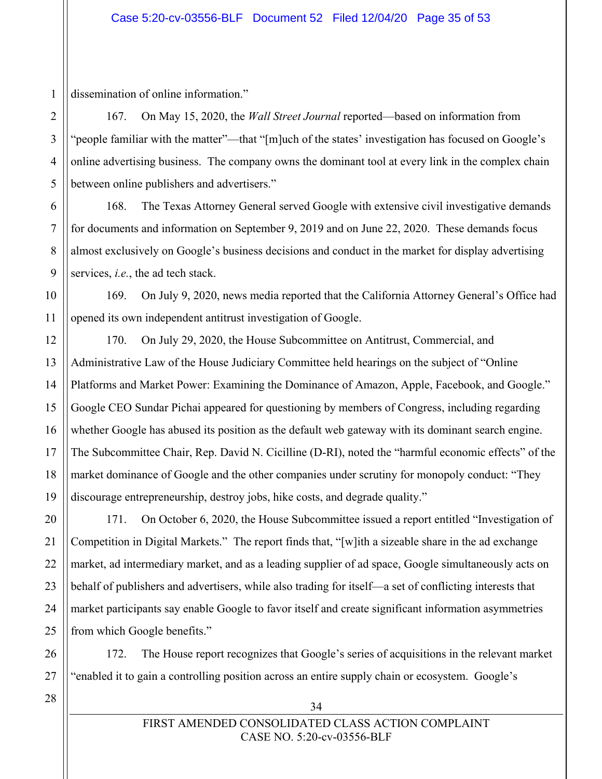1 dissemination of online information."

2

3

4

5

6

7

8

9

10

11

12

13

14

15

16

17

18

19

20

21

22

23

24

25

26

167. On May 15, 2020, the *Wall Street Journal* reported—based on information from "people familiar with the matter"—that "[m]uch of the states' investigation has focused on Google's online advertising business. The company owns the dominant tool at every link in the complex chain between online publishers and advertisers."

168. The Texas Attorney General served Google with extensive civil investigative demands for documents and information on September 9, 2019 and on June 22, 2020. These demands focus almost exclusively on Google's business decisions and conduct in the market for display advertising services, *i.e.*, the ad tech stack.

169. On July 9, 2020, news media reported that the California Attorney General's Office had opened its own independent antitrust investigation of Google.

170. On July 29, 2020, the House Subcommittee on Antitrust, Commercial, and Administrative Law of the House Judiciary Committee held hearings on the subject of "Online Platforms and Market Power: Examining the Dominance of Amazon, Apple, Facebook, and Google." Google CEO Sundar Pichai appeared for questioning by members of Congress, including regarding whether Google has abused its position as the default web gateway with its dominant search engine. The Subcommittee Chair, Rep. David N. Cicilline (D-RI), noted the "harmful economic effects" of the market dominance of Google and the other companies under scrutiny for monopoly conduct: "They discourage entrepreneurship, destroy jobs, hike costs, and degrade quality."

171. On October 6, 2020, the House Subcommittee issued a report entitled "Investigation of Competition in Digital Markets." The report finds that, "[w]ith a sizeable share in the ad exchange market, ad intermediary market, and as a leading supplier of ad space, Google simultaneously acts on behalf of publishers and advertisers, while also trading for itself—a set of conflicting interests that market participants say enable Google to favor itself and create significant information asymmetries from which Google benefits."

172. The House report recognizes that Google's series of acquisitions in the relevant market "enabled it to gain a controlling position across an entire supply chain or ecosystem. Google's

27 28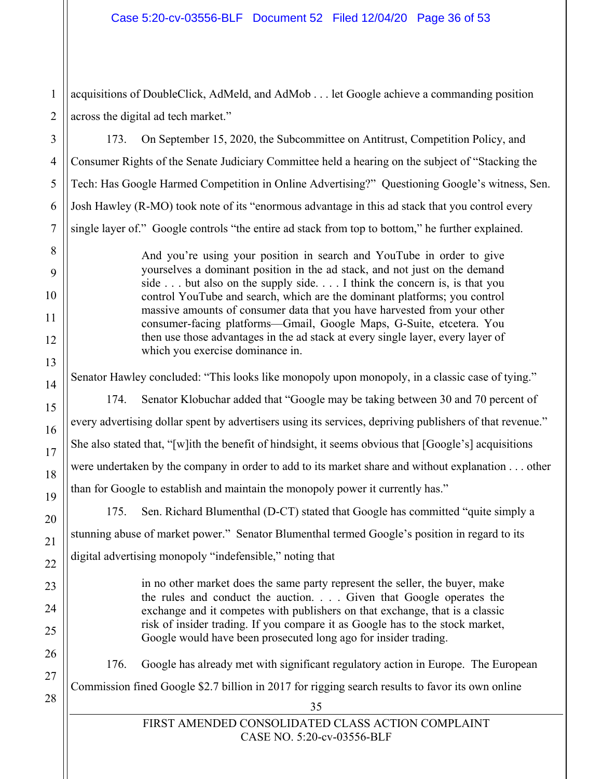acquisitions of DoubleClick, AdMeld, and AdMob . . . let Google achieve a commanding position across the digital ad tech market."

173. On September 15, 2020, the Subcommittee on Antitrust, Competition Policy, and Consumer Rights of the Senate Judiciary Committee held a hearing on the subject of "Stacking the Tech: Has Google Harmed Competition in Online Advertising?" Questioning Google's witness, Sen. Josh Hawley (R-MO) took note of its "enormous advantage in this ad stack that you control every single layer of." Google controls "the entire ad stack from top to bottom," he further explained.

> And you're using your position in search and YouTube in order to give yourselves a dominant position in the ad stack, and not just on the demand side . . . but also on the supply side. . . . I think the concern is, is that you control YouTube and search, which are the dominant platforms; you control massive amounts of consumer data that you have harvested from your other consumer-facing platforms—Gmail, Google Maps, G-Suite, etcetera. You then use those advantages in the ad stack at every single layer, every layer of which you exercise dominance in.

Senator Hawley concluded: "This looks like monopoly upon monopoly, in a classic case of tying."

174. Senator Klobuchar added that "Google may be taking between 30 and 70 percent of every advertising dollar spent by advertisers using its services, depriving publishers of that revenue." She also stated that, "[w]ith the benefit of hindsight, it seems obvious that [Google's] acquisitions were undertaken by the company in order to add to its market share and without explanation . . . other than for Google to establish and maintain the monopoly power it currently has."

175. Sen. Richard Blumenthal (D-CT) stated that Google has committed "quite simply a stunning abuse of market power." Senator Blumenthal termed Google's position in regard to its digital advertising monopoly "indefensible," noting that

> in no other market does the same party represent the seller, the buyer, make the rules and conduct the auction. . . . Given that Google operates the exchange and it competes with publishers on that exchange, that is a classic risk of insider trading. If you compare it as Google has to the stock market, Google would have been prosecuted long ago for insider trading.

176. Google has already met with significant regulatory action in Europe. The European Commission fined Google \$2.7 billion in 2017 for rigging search results to favor its own online

> FIRST AMENDED CONSOLIDATED CLASS ACTION COMPLAINT CASE NO. 5:20-cv-03556-BLF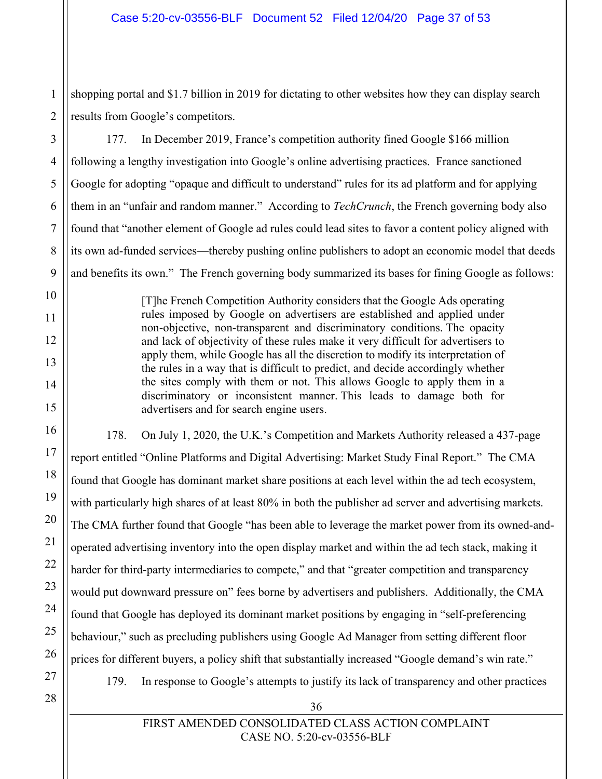$\overline{2}$ shopping portal and \$1.7 billion in 2019 for dictating to other websites how they can display search results from Google's competitors.

177. In December 2019, France's competition authority fined Google \$166 million following a lengthy investigation into Google's online advertising practices. France sanctioned Google for adopting "opaque and difficult to understand" rules for its ad platform and for applying them in an "unfair and random manner." According to *TechCrunch*, the French governing body also found that "another element of Google ad rules could lead sites to favor a content policy aligned with its own ad-funded services—thereby pushing online publishers to adopt an economic model that deeds and benefits its own." The French governing body summarized its bases for fining Google as follows:

> [T]he French Competition Authority considers that the Google Ads operating rules imposed by Google on advertisers are established and applied under non-objective, non-transparent and discriminatory conditions. The opacity and lack of objectivity of these rules make it very difficult for advertisers to apply them, while Google has all the discretion to modify its interpretation of the rules in a way that is difficult to predict, and decide accordingly whether the sites comply with them or not. This allows Google to apply them in a discriminatory or inconsistent manner. This leads to damage both for advertisers and for search engine users.

178. On July 1, 2020, the U.K.'s Competition and Markets Authority released a 437-page report entitled "Online Platforms and Digital Advertising: Market Study Final Report." The CMA found that Google has dominant market share positions at each level within the ad tech ecosystem, with particularly high shares of at least 80% in both the publisher ad server and advertising markets. The CMA further found that Google "has been able to leverage the market power from its owned-andoperated advertising inventory into the open display market and within the ad tech stack, making it harder for third-party intermediaries to compete," and that "greater competition and transparency would put downward pressure on" fees borne by advertisers and publishers. Additionally, the CMA found that Google has deployed its dominant market positions by engaging in "self-preferencing behaviour," such as precluding publishers using Google Ad Manager from setting different floor prices for different buyers, a policy shift that substantially increased "Google demand's win rate." 179. In response to Google's attempts to justify its lack of transparency and other practices

27 28

1

3

4

5

6

7

8

9

10

11

12

13

14

15

16

17

18

19

20

21

22

23

24

25

26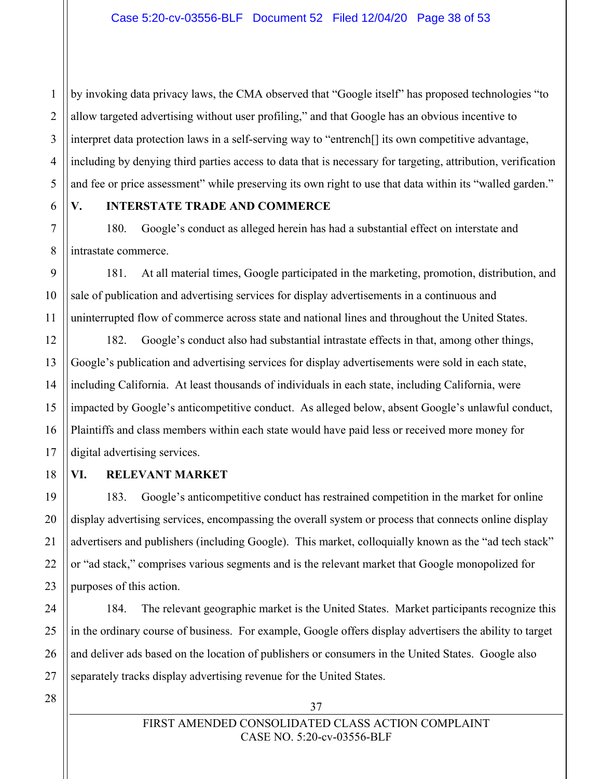by invoking data privacy laws, the CMA observed that "Google itself" has proposed technologies "to allow targeted advertising without user profiling," and that Google has an obvious incentive to interpret data protection laws in a self-serving way to "entrench[] its own competitive advantage, including by denying third parties access to data that is necessary for targeting, attribution, verification and fee or price assessment" while preserving its own right to use that data within its "walled garden."

6

1

 $\mathfrak{D}$ 

3

4

5

7

8

9

10

11

18

19

20

21

22

23

24

25

26

#### **V. INTERSTATE TRADE AND COMMERCE**

180. Google's conduct as alleged herein has had a substantial effect on interstate and intrastate commerce.

181. At all material times, Google participated in the marketing, promotion, distribution, and sale of publication and advertising services for display advertisements in a continuous and uninterrupted flow of commerce across state and national lines and throughout the United States.

12 13 14 15 16 17 182. Google's conduct also had substantial intrastate effects in that, among other things, Google's publication and advertising services for display advertisements were sold in each state, including California. At least thousands of individuals in each state, including California, were impacted by Google's anticompetitive conduct. As alleged below, absent Google's unlawful conduct, Plaintiffs and class members within each state would have paid less or received more money for digital advertising services.

## **VI. RELEVANT MARKET**

183. Google's anticompetitive conduct has restrained competition in the market for online display advertising services, encompassing the overall system or process that connects online display advertisers and publishers (including Google). This market, colloquially known as the "ad tech stack" or "ad stack," comprises various segments and is the relevant market that Google monopolized for purposes of this action.

184. The relevant geographic market is the United States. Market participants recognize this in the ordinary course of business. For example, Google offers display advertisers the ability to target and deliver ads based on the location of publishers or consumers in the United States. Google also separately tracks display advertising revenue for the United States.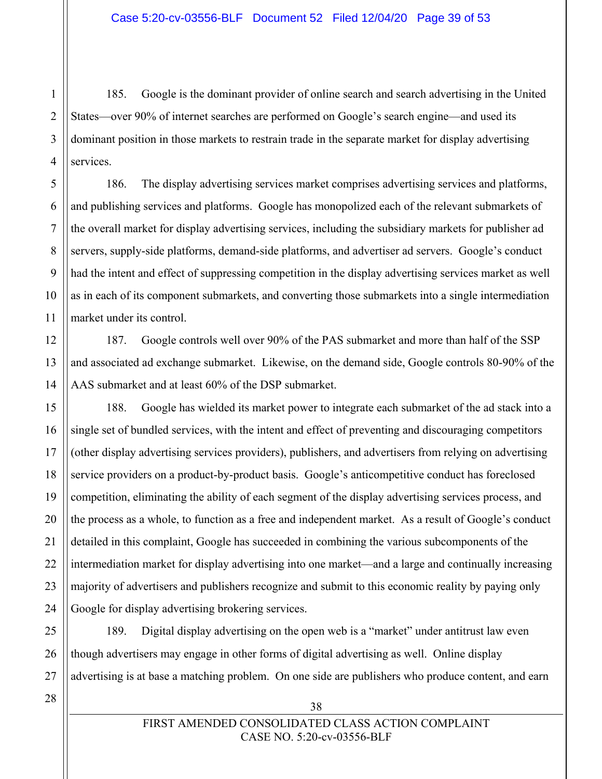185. Google is the dominant provider of online search and search advertising in the United States—over 90% of internet searches are performed on Google's search engine—and used its dominant position in those markets to restrain trade in the separate market for display advertising services.

186. The display advertising services market comprises advertising services and platforms, and publishing services and platforms. Google has monopolized each of the relevant submarkets of the overall market for display advertising services, including the subsidiary markets for publisher ad servers, supply-side platforms, demand-side platforms, and advertiser ad servers. Google's conduct had the intent and effect of suppressing competition in the display advertising services market as well as in each of its component submarkets, and converting those submarkets into a single intermediation market under its control.

187. Google controls well over 90% of the PAS submarket and more than half of the SSP and associated ad exchange submarket. Likewise, on the demand side, Google controls 80-90% of the AAS submarket and at least 60% of the DSP submarket.

188. Google has wielded its market power to integrate each submarket of the ad stack into a single set of bundled services, with the intent and effect of preventing and discouraging competitors (other display advertising services providers), publishers, and advertisers from relying on advertising service providers on a product-by-product basis. Google's anticompetitive conduct has foreclosed competition, eliminating the ability of each segment of the display advertising services process, and the process as a whole, to function as a free and independent market. As a result of Google's conduct detailed in this complaint, Google has succeeded in combining the various subcomponents of the intermediation market for display advertising into one market—and a large and continually increasing majority of advertisers and publishers recognize and submit to this economic reality by paying only Google for display advertising brokering services.

189. Digital display advertising on the open web is a "market" under antitrust law even though advertisers may engage in other forms of digital advertising as well. Online display advertising is at base a matching problem. On one side are publishers who produce content, and earn

38

1

 $\mathfrak{D}$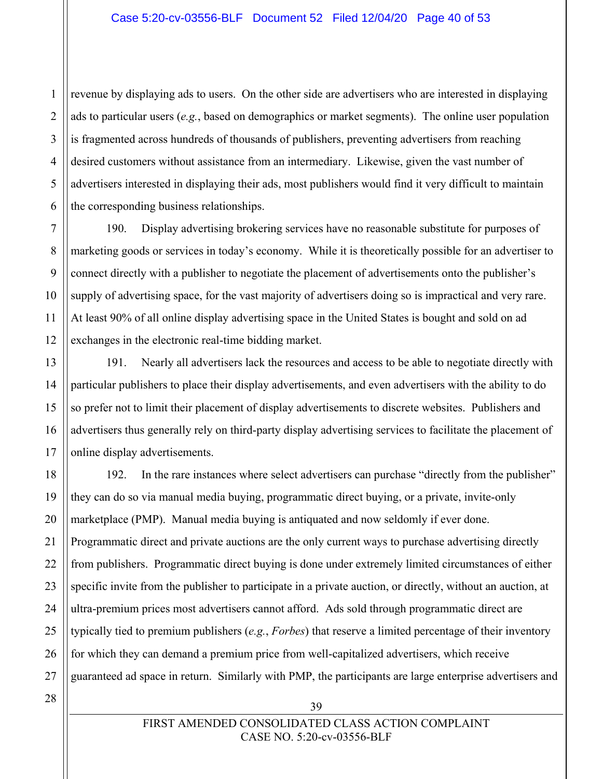revenue by displaying ads to users. On the other side are advertisers who are interested in displaying ads to particular users (*e.g.*, based on demographics or market segments). The online user population is fragmented across hundreds of thousands of publishers, preventing advertisers from reaching desired customers without assistance from an intermediary. Likewise, given the vast number of advertisers interested in displaying their ads, most publishers would find it very difficult to maintain the corresponding business relationships.

190. Display advertising brokering services have no reasonable substitute for purposes of marketing goods or services in today's economy. While it is theoretically possible for an advertiser to connect directly with a publisher to negotiate the placement of advertisements onto the publisher's supply of advertising space, for the vast majority of advertisers doing so is impractical and very rare. At least 90% of all online display advertising space in the United States is bought and sold on ad exchanges in the electronic real-time bidding market.

191. Nearly all advertisers lack the resources and access to be able to negotiate directly with particular publishers to place their display advertisements, and even advertisers with the ability to do so prefer not to limit their placement of display advertisements to discrete websites. Publishers and advertisers thus generally rely on third-party display advertising services to facilitate the placement of online display advertisements.

18 19 20 22 23 24 25 26 27 192. In the rare instances where select advertisers can purchase "directly from the publisher" they can do so via manual media buying, programmatic direct buying, or a private, invite-only marketplace (PMP). Manual media buying is antiquated and now seldomly if ever done. Programmatic direct and private auctions are the only current ways to purchase advertising directly from publishers. Programmatic direct buying is done under extremely limited circumstances of either specific invite from the publisher to participate in a private auction, or directly, without an auction, at ultra-premium prices most advertisers cannot afford. Ads sold through programmatic direct are typically tied to premium publishers (*e.g.*, *Forbes*) that reserve a limited percentage of their inventory for which they can demand a premium price from well-capitalized advertisers, which receive guaranteed ad space in return. Similarly with PMP, the participants are large enterprise advertisers and

28

1

 $\mathfrak{D}$ 

3

4

5

6

7

8

9

10

11

12

13

14

15

16

17

21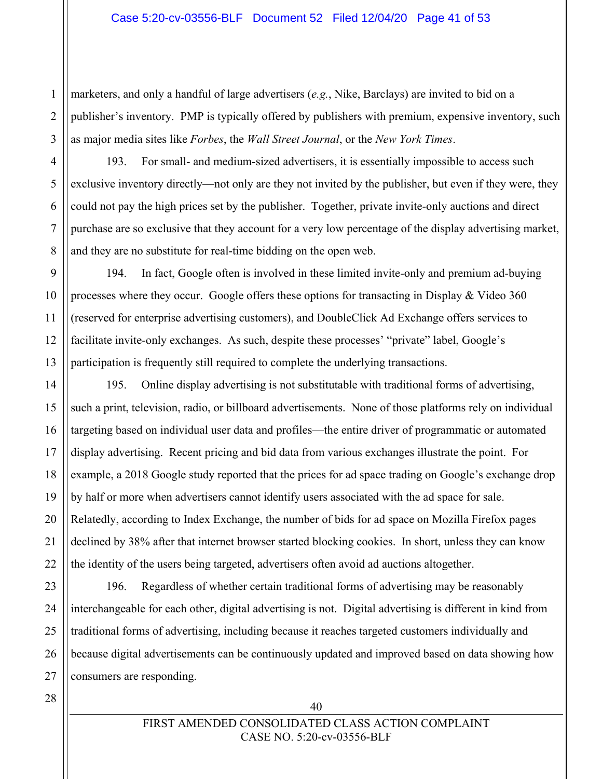$\mathfrak{D}$ 3 marketers, and only a handful of large advertisers (*e.g.*, Nike, Barclays) are invited to bid on a publisher's inventory. PMP is typically offered by publishers with premium, expensive inventory, such as major media sites like *Forbes*, the *Wall Street Journal*, or the *New York Times*.

4 5

6

7

8

9

10

11

12

13

14

15

16

17

18

19

20

21

22

1

193. For small- and medium-sized advertisers, it is essentially impossible to access such exclusive inventory directly—not only are they not invited by the publisher, but even if they were, they could not pay the high prices set by the publisher. Together, private invite-only auctions and direct purchase are so exclusive that they account for a very low percentage of the display advertising market, and they are no substitute for real-time bidding on the open web.

194. In fact, Google often is involved in these limited invite-only and premium ad-buying processes where they occur. Google offers these options for transacting in Display & Video 360 (reserved for enterprise advertising customers), and DoubleClick Ad Exchange offers services to facilitate invite-only exchanges. As such, despite these processes' "private" label, Google's participation is frequently still required to complete the underlying transactions.

195. Online display advertising is not substitutable with traditional forms of advertising, such a print, television, radio, or billboard advertisements. None of those platforms rely on individual targeting based on individual user data and profiles—the entire driver of programmatic or automated display advertising. Recent pricing and bid data from various exchanges illustrate the point. For example, a 2018 Google study reported that the prices for ad space trading on Google's exchange drop by half or more when advertisers cannot identify users associated with the ad space for sale. Relatedly, according to Index Exchange, the number of bids for ad space on Mozilla Firefox pages declined by 38% after that internet browser started blocking cookies. In short, unless they can know the identity of the users being targeted, advertisers often avoid ad auctions altogether.

23 24 25 26 27 196. Regardless of whether certain traditional forms of advertising may be reasonably interchangeable for each other, digital advertising is not. Digital advertising is different in kind from traditional forms of advertising, including because it reaches targeted customers individually and because digital advertisements can be continuously updated and improved based on data showing how consumers are responding.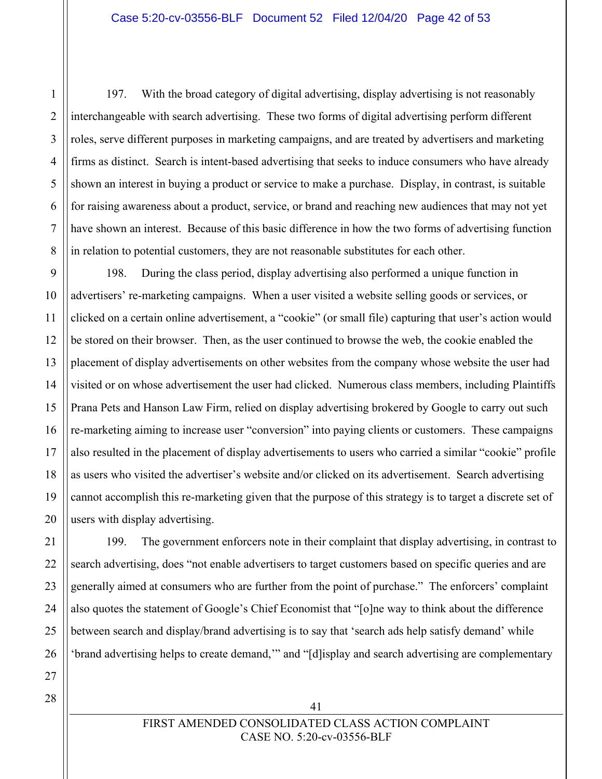197. With the broad category of digital advertising, display advertising is not reasonably interchangeable with search advertising. These two forms of digital advertising perform different roles, serve different purposes in marketing campaigns, and are treated by advertisers and marketing firms as distinct. Search is intent-based advertising that seeks to induce consumers who have already shown an interest in buying a product or service to make a purchase. Display, in contrast, is suitable for raising awareness about a product, service, or brand and reaching new audiences that may not yet have shown an interest. Because of this basic difference in how the two forms of advertising function in relation to potential customers, they are not reasonable substitutes for each other.

14 198. During the class period, display advertising also performed a unique function in advertisers' re-marketing campaigns. When a user visited a website selling goods or services, or clicked on a certain online advertisement, a "cookie" (or small file) capturing that user's action would be stored on their browser. Then, as the user continued to browse the web, the cookie enabled the placement of display advertisements on other websites from the company whose website the user had visited or on whose advertisement the user had clicked. Numerous class members, including Plaintiffs Prana Pets and Hanson Law Firm, relied on display advertising brokered by Google to carry out such re-marketing aiming to increase user "conversion" into paying clients or customers. These campaigns also resulted in the placement of display advertisements to users who carried a similar "cookie" profile as users who visited the advertiser's website and/or clicked on its advertisement. Search advertising cannot accomplish this re-marketing given that the purpose of this strategy is to target a discrete set of users with display advertising.

199. The government enforcers note in their complaint that display advertising, in contrast to search advertising, does "not enable advertisers to target customers based on specific queries and are generally aimed at consumers who are further from the point of purchase." The enforcers' complaint also quotes the statement of Google's Chief Economist that "[o]ne way to think about the difference between search and display/brand advertising is to say that 'search ads help satisfy demand' while 'brand advertising helps to create demand,'" and "[d]isplay and search advertising are complementary

1

 $\mathfrak{D}$ 

3

4

5

6

7

8

9

10

11

12

13

15

16

17

18

19

20

21

22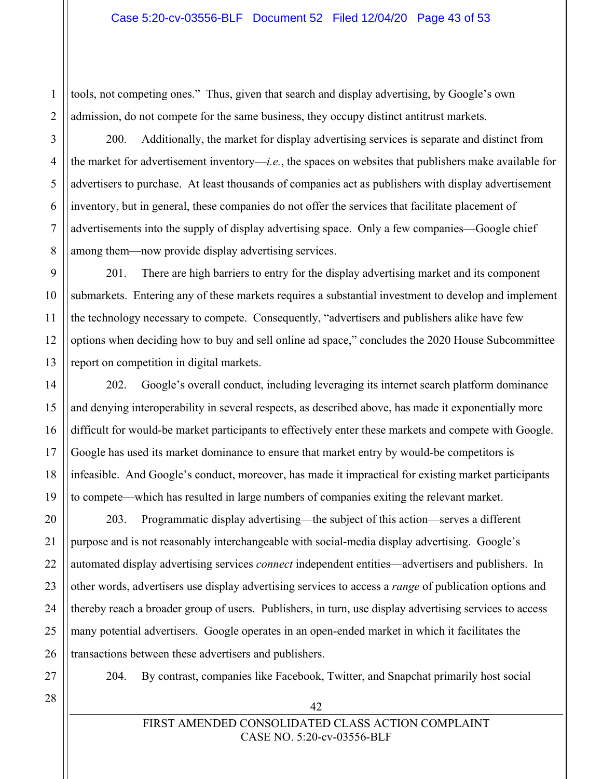tools, not competing ones." Thus, given that search and display advertising, by Google's own admission, do not compete for the same business, they occupy distinct antitrust markets.

200. Additionally, the market for display advertising services is separate and distinct from the market for advertisement inventory—*i.e.*, the spaces on websites that publishers make available for advertisers to purchase. At least thousands of companies act as publishers with display advertisement inventory, but in general, these companies do not offer the services that facilitate placement of advertisements into the supply of display advertising space. Only a few companies—Google chief among them—now provide display advertising services.

201. There are high barriers to entry for the display advertising market and its component submarkets. Entering any of these markets requires a substantial investment to develop and implement the technology necessary to compete. Consequently, "advertisers and publishers alike have few options when deciding how to buy and sell online ad space," concludes the 2020 House Subcommittee report on competition in digital markets.

202. Google's overall conduct, including leveraging its internet search platform dominance and denying interoperability in several respects, as described above, has made it exponentially more difficult for would-be market participants to effectively enter these markets and compete with Google. Google has used its market dominance to ensure that market entry by would-be competitors is infeasible. And Google's conduct, moreover, has made it impractical for existing market participants to compete—which has resulted in large numbers of companies exiting the relevant market.

203. Programmatic display advertising—the subject of this action—serves a different purpose and is not reasonably interchangeable with social-media display advertising. Google's automated display advertising services *connect* independent entities—advertisers and publishers. In other words, advertisers use display advertising services to access a *range* of publication options and thereby reach a broader group of users. Publishers, in turn, use display advertising services to access many potential advertisers. Google operates in an open-ended market in which it facilitates the transactions between these advertisers and publishers.

27

204. By contrast, companies like Facebook, Twitter, and Snapchat primarily host social

1

 $\overline{2}$ 

3

4

5

6

7

8

9

10

11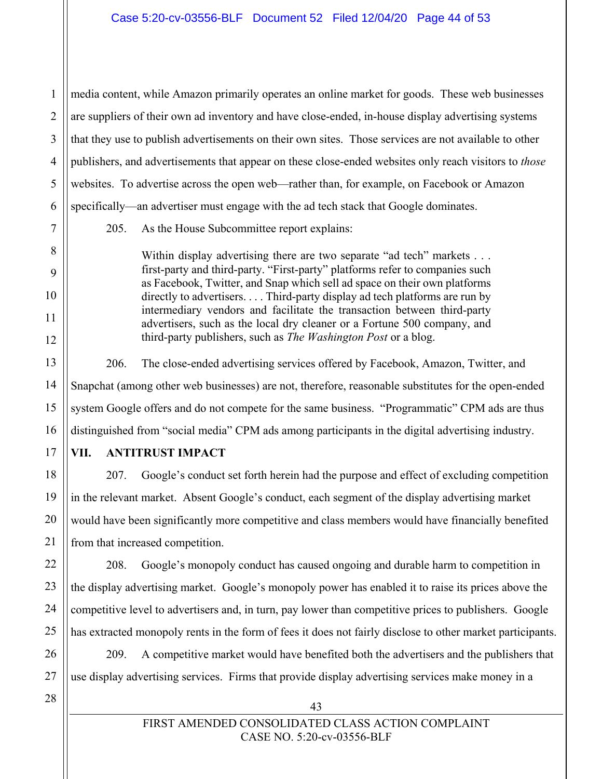1  $\mathfrak{D}$ 3 4 5 6 media content, while Amazon primarily operates an online market for goods. These web businesses are suppliers of their own ad inventory and have close-ended, in-house display advertising systems that they use to publish advertisements on their own sites. Those services are not available to other publishers, and advertisements that appear on these close-ended websites only reach visitors to *those* websites. To advertise across the open web—rather than, for example, on Facebook or Amazon specifically—an advertiser must engage with the ad tech stack that Google dominates.

205. As the House Subcommittee report explains:

Within display advertising there are two separate "ad tech" markets . . . first-party and third-party. "First-party" platforms refer to companies such as Facebook, Twitter, and Snap which sell ad space on their own platforms directly to advertisers. . . . Third-party display ad tech platforms are run by intermediary vendors and facilitate the transaction between third-party advertisers, such as the local dry cleaner or a Fortune 500 company, and third-party publishers, such as *The Washington Post* or a blog.

206. The close-ended advertising services offered by Facebook, Amazon, Twitter, and Snapchat (among other web businesses) are not, therefore, reasonable substitutes for the open-ended system Google offers and do not compete for the same business. "Programmatic" CPM ads are thus distinguished from "social media" CPM ads among participants in the digital advertising industry.

**VII. ANTITRUST IMPACT**

207. Google's conduct set forth herein had the purpose and effect of excluding competition in the relevant market. Absent Google's conduct, each segment of the display advertising market would have been significantly more competitive and class members would have financially benefited from that increased competition.

208. Google's monopoly conduct has caused ongoing and durable harm to competition in the display advertising market. Google's monopoly power has enabled it to raise its prices above the competitive level to advertisers and, in turn, pay lower than competitive prices to publishers. Google has extracted monopoly rents in the form of fees it does not fairly disclose to other market participants.

209. A competitive market would have benefited both the advertisers and the publishers that use display advertising services. Firms that provide display advertising services make money in a

27 28

7

8

9

10

11

12

13

14

15

16

17

18

19

20

21

22

23

24

25

26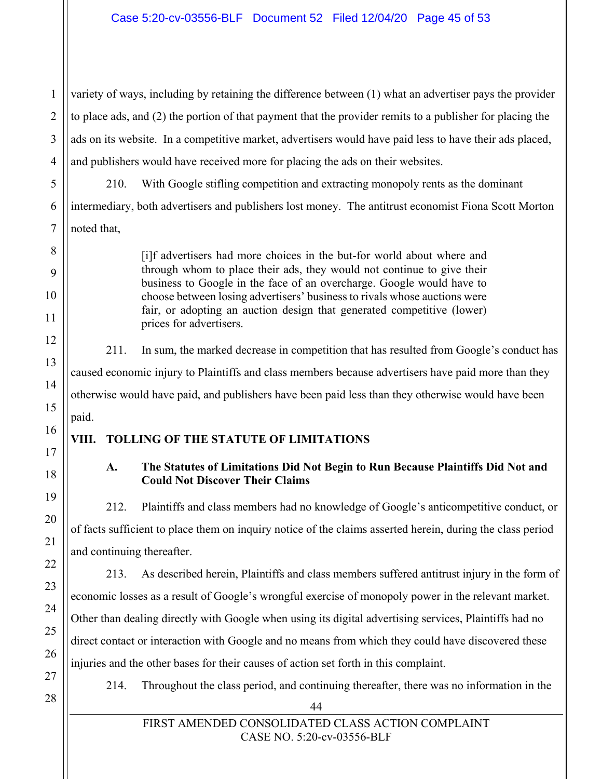1  $\mathfrak{D}$ 3 4 variety of ways, including by retaining the difference between (1) what an advertiser pays the provider to place ads, and (2) the portion of that payment that the provider remits to a publisher for placing the ads on its website. In a competitive market, advertisers would have paid less to have their ads placed, and publishers would have received more for placing the ads on their websites.

210. With Google stifling competition and extracting monopoly rents as the dominant intermediary, both advertisers and publishers lost money. The antitrust economist Fiona Scott Morton noted that,

> [i]f advertisers had more choices in the but-for world about where and through whom to place their ads, they would not continue to give their business to Google in the face of an overcharge. Google would have to choose between losing advertisers' business to rivals whose auctions were fair, or adopting an auction design that generated competitive (lower) prices for advertisers.

211. In sum, the marked decrease in competition that has resulted from Google's conduct has caused economic injury to Plaintiffs and class members because advertisers have paid more than they otherwise would have paid, and publishers have been paid less than they otherwise would have been paid.

## **VIII. TOLLING OF THE STATUTE OF LIMITATIONS**

## **A. The Statutes of Limitations Did Not Begin to Run Because Plaintiffs Did Not and Could Not Discover Their Claims**

212. Plaintiffs and class members had no knowledge of Google's anticompetitive conduct, or of facts sufficient to place them on inquiry notice of the claims asserted herein, during the class period and continuing thereafter.

213. As described herein, Plaintiffs and class members suffered antitrust injury in the form of economic losses as a result of Google's wrongful exercise of monopoly power in the relevant market. Other than dealing directly with Google when using its digital advertising services, Plaintiffs had no direct contact or interaction with Google and no means from which they could have discovered these injuries and the other bases for their causes of action set forth in this complaint.

214. Throughout the class period, and continuing thereafter, there was no information in the

28

5

6

7

8

9

10

11

12

13

14

15

16

17

18

19

20

21

22

23

24

25

26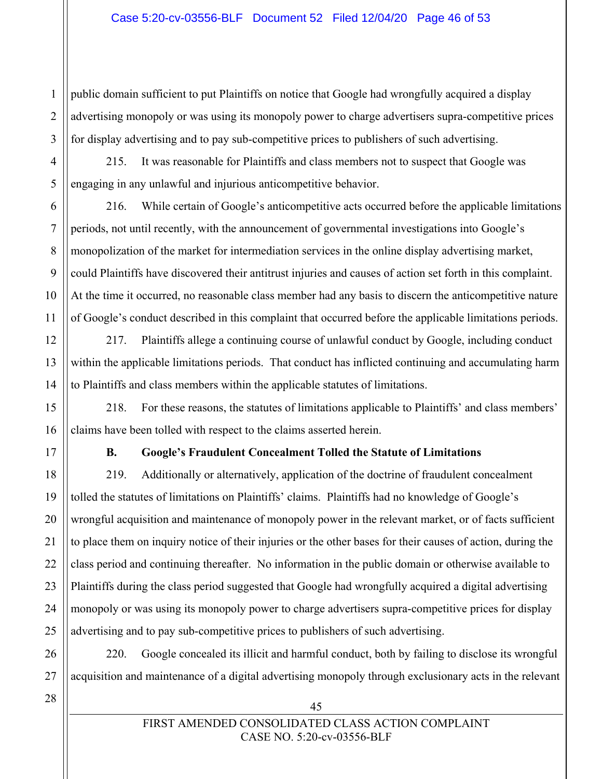$\mathfrak{D}$ 3 public domain sufficient to put Plaintiffs on notice that Google had wrongfully acquired a display advertising monopoly or was using its monopoly power to charge advertisers supra-competitive prices for display advertising and to pay sub-competitive prices to publishers of such advertising.

215. It was reasonable for Plaintiffs and class members not to suspect that Google was engaging in any unlawful and injurious anticompetitive behavior.

216. While certain of Google's anticompetitive acts occurred before the applicable limitations periods, not until recently, with the announcement of governmental investigations into Google's monopolization of the market for intermediation services in the online display advertising market, could Plaintiffs have discovered their antitrust injuries and causes of action set forth in this complaint. At the time it occurred, no reasonable class member had any basis to discern the anticompetitive nature of Google's conduct described in this complaint that occurred before the applicable limitations periods.

217. Plaintiffs allege a continuing course of unlawful conduct by Google, including conduct within the applicable limitations periods. That conduct has inflicted continuing and accumulating harm to Plaintiffs and class members within the applicable statutes of limitations.

218. For these reasons, the statutes of limitations applicable to Plaintiffs' and class members' claims have been tolled with respect to the claims asserted herein.

1

4

5

6

7

8

9

10

11

12

13

14

15

16

17

18

19

20

21

22

23

24

25

26

27

## **B. Google's Fraudulent Concealment Tolled the Statute of Limitations**

219. Additionally or alternatively, application of the doctrine of fraudulent concealment tolled the statutes of limitations on Plaintiffs' claims. Plaintiffs had no knowledge of Google's wrongful acquisition and maintenance of monopoly power in the relevant market, or of facts sufficient to place them on inquiry notice of their injuries or the other bases for their causes of action, during the class period and continuing thereafter. No information in the public domain or otherwise available to Plaintiffs during the class period suggested that Google had wrongfully acquired a digital advertising monopoly or was using its monopoly power to charge advertisers supra-competitive prices for display advertising and to pay sub-competitive prices to publishers of such advertising.

220. Google concealed its illicit and harmful conduct, both by failing to disclose its wrongful acquisition and maintenance of a digital advertising monopoly through exclusionary acts in the relevant

45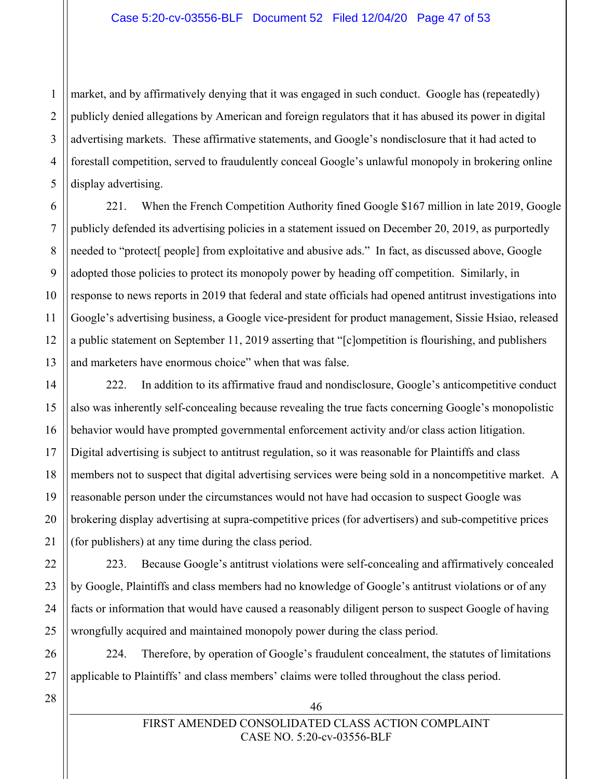1  $\mathfrak{D}$ 3 4 5 market, and by affirmatively denying that it was engaged in such conduct. Google has (repeatedly) publicly denied allegations by American and foreign regulators that it has abused its power in digital advertising markets. These affirmative statements, and Google's nondisclosure that it had acted to forestall competition, served to fraudulently conceal Google's unlawful monopoly in brokering online display advertising.

221. When the French Competition Authority fined Google \$167 million in late 2019, Google publicly defended its advertising policies in a statement issued on December 20, 2019, as purportedly needed to "protect[ people] from exploitative and abusive ads." In fact, as discussed above, Google adopted those policies to protect its monopoly power by heading off competition. Similarly, in response to news reports in 2019 that federal and state officials had opened antitrust investigations into Google's advertising business, a Google vice-president for product management, Sissie Hsiao, released a public statement on September 11, 2019 asserting that "[c]ompetition is flourishing, and publishers and marketers have enormous choice" when that was false.

222. In addition to its affirmative fraud and nondisclosure, Google's anticompetitive conduct also was inherently self-concealing because revealing the true facts concerning Google's monopolistic behavior would have prompted governmental enforcement activity and/or class action litigation. Digital advertising is subject to antitrust regulation, so it was reasonable for Plaintiffs and class members not to suspect that digital advertising services were being sold in a noncompetitive market. A reasonable person under the circumstances would not have had occasion to suspect Google was brokering display advertising at supra-competitive prices (for advertisers) and sub-competitive prices (for publishers) at any time during the class period.

223. Because Google's antitrust violations were self-concealing and affirmatively concealed by Google, Plaintiffs and class members had no knowledge of Google's antitrust violations or of any facts or information that would have caused a reasonably diligent person to suspect Google of having wrongfully acquired and maintained monopoly power during the class period.

224. Therefore, by operation of Google's fraudulent concealment, the statutes of limitations applicable to Plaintiffs' and class members' claims were tolled throughout the class period.

27 28

6

7

8

9

10

11

12

13

14

15

16

17

18

19

20

21

22

23

24

25

26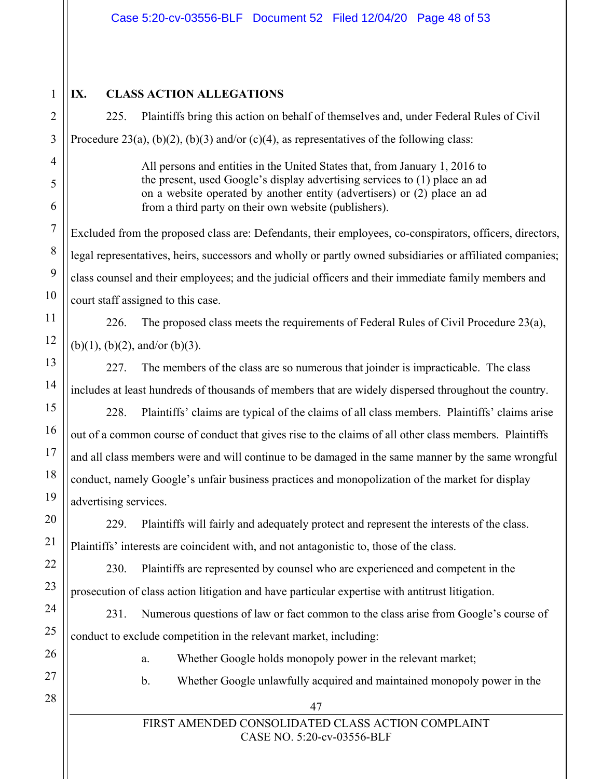1  $\overline{2}$ 

3

4

5

6

7

8

9

10

11

12

13

14

15

16

17

18

19

20

21

22

23

24

25

26

27

28

## **IX. CLASS ACTION ALLEGATIONS**

225. Plaintiffs bring this action on behalf of themselves and, under Federal Rules of Civil Procedure 23(a), (b)(2), (b)(3) and/or (c)(4), as representatives of the following class:

> All persons and entities in the United States that, from January 1, 2016 to the present, used Google's display advertising services to (1) place an ad on a website operated by another entity (advertisers) or (2) place an ad from a third party on their own website (publishers).

Excluded from the proposed class are: Defendants, their employees, co-conspirators, officers, directors, legal representatives, heirs, successors and wholly or partly owned subsidiaries or affiliated companies; class counsel and their employees; and the judicial officers and their immediate family members and court staff assigned to this case.

226. The proposed class meets the requirements of Federal Rules of Civil Procedure 23(a),  $(b)(1)$ ,  $(b)(2)$ , and/or  $(b)(3)$ .

227. The members of the class are so numerous that joinder is impracticable. The class includes at least hundreds of thousands of members that are widely dispersed throughout the country.

228. Plaintiffs' claims are typical of the claims of all class members. Plaintiffs' claims arise out of a common course of conduct that gives rise to the claims of all other class members. Plaintiffs and all class members were and will continue to be damaged in the same manner by the same wrongful conduct, namely Google's unfair business practices and monopolization of the market for display advertising services.

229. Plaintiffs will fairly and adequately protect and represent the interests of the class. Plaintiffs' interests are coincident with, and not antagonistic to, those of the class.

230. Plaintiffs are represented by counsel who are experienced and competent in the prosecution of class action litigation and have particular expertise with antitrust litigation.

231. Numerous questions of law or fact common to the class arise from Google's course of conduct to exclude competition in the relevant market, including:

- a. Whether Google holds monopoly power in the relevant market;
- b. Whether Google unlawfully acquired and maintained monopoly power in the
	-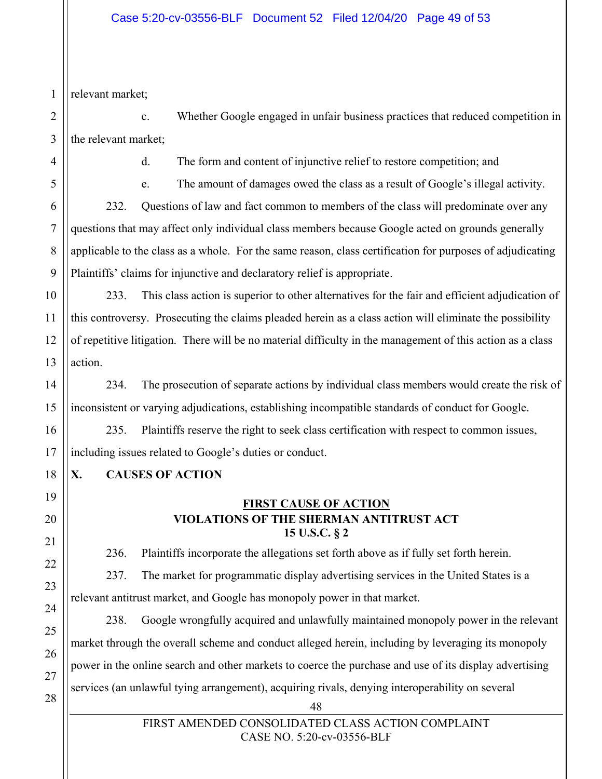1 relevant market;

2 3 c. Whether Google engaged in unfair business practices that reduced competition in the relevant market;

4

5

6

7

8

9

d. The form and content of injunctive relief to restore competition; and

e. The amount of damages owed the class as a result of Google's illegal activity.

232. Questions of law and fact common to members of the class will predominate over any questions that may affect only individual class members because Google acted on grounds generally applicable to the class as a whole. For the same reason, class certification for purposes of adjudicating Plaintiffs' claims for injunctive and declaratory relief is appropriate.

233. This class action is superior to other alternatives for the fair and efficient adjudication of this controversy. Prosecuting the claims pleaded herein as a class action will eliminate the possibility of repetitive litigation. There will be no material difficulty in the management of this action as a class action.

234. The prosecution of separate actions by individual class members would create the risk of inconsistent or varying adjudications, establishing incompatible standards of conduct for Google.

235. Plaintiffs reserve the right to seek class certification with respect to common issues, including issues related to Google's duties or conduct.

## **X. CAUSES OF ACTION**

## **FIRST CAUSE OF ACTION VIOLATIONS OF THE SHERMAN ANTITRUST ACT 15 U.S.C. § 2**

236. Plaintiffs incorporate the allegations set forth above as if fully set forth herein.

237. The market for programmatic display advertising services in the United States is a relevant antitrust market, and Google has monopoly power in that market.

238. Google wrongfully acquired and unlawfully maintained monopoly power in the relevant market through the overall scheme and conduct alleged herein, including by leveraging its monopoly power in the online search and other markets to coerce the purchase and use of its display advertising services (an unlawful tying arrangement), acquiring rivals, denying interoperability on several

> FIRST AMENDED CONSOLIDATED CLASS ACTION COMPLAINT CASE NO. 5:20-cv-03556-BLF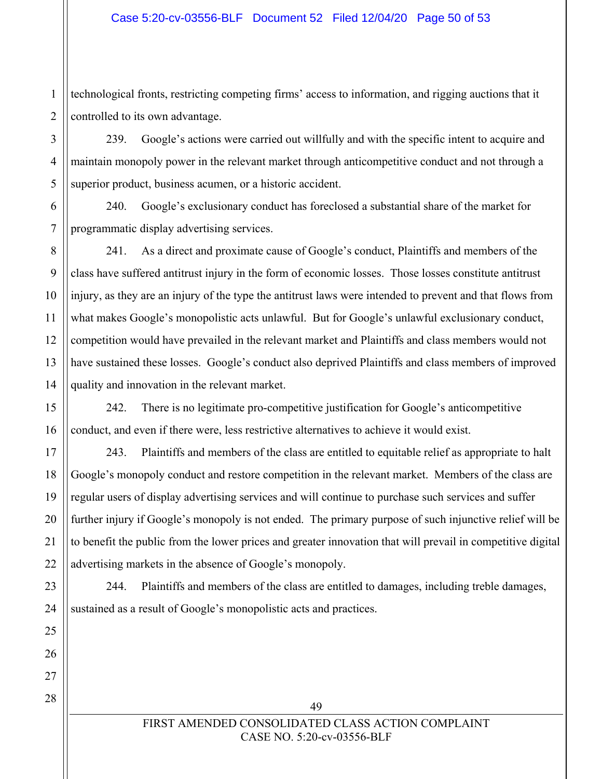technological fronts, restricting competing firms' access to information, and rigging auctions that it controlled to its own advantage.

239. Google's actions were carried out willfully and with the specific intent to acquire and maintain monopoly power in the relevant market through anticompetitive conduct and not through a superior product, business acumen, or a historic accident.

240. Google's exclusionary conduct has foreclosed a substantial share of the market for programmatic display advertising services.

241. As a direct and proximate cause of Google's conduct, Plaintiffs and members of the class have suffered antitrust injury in the form of economic losses. Those losses constitute antitrust injury, as they are an injury of the type the antitrust laws were intended to prevent and that flows from what makes Google's monopolistic acts unlawful. But for Google's unlawful exclusionary conduct, competition would have prevailed in the relevant market and Plaintiffs and class members would not have sustained these losses. Google's conduct also deprived Plaintiffs and class members of improved quality and innovation in the relevant market.

242. There is no legitimate pro-competitive justification for Google's anticompetitive conduct, and even if there were, less restrictive alternatives to achieve it would exist.

243. Plaintiffs and members of the class are entitled to equitable relief as appropriate to halt Google's monopoly conduct and restore competition in the relevant market. Members of the class are regular users of display advertising services and will continue to purchase such services and suffer further injury if Google's monopoly is not ended. The primary purpose of such injunctive relief will be to benefit the public from the lower prices and greater innovation that will prevail in competitive digital advertising markets in the absence of Google's monopoly.

244. Plaintiffs and members of the class are entitled to damages, including treble damages, sustained as a result of Google's monopolistic acts and practices.

49

## FIRST AMENDED CONSOLIDATED CLASS ACTION COMPLAINT CASE NO. 5:20-cv-03556-BLF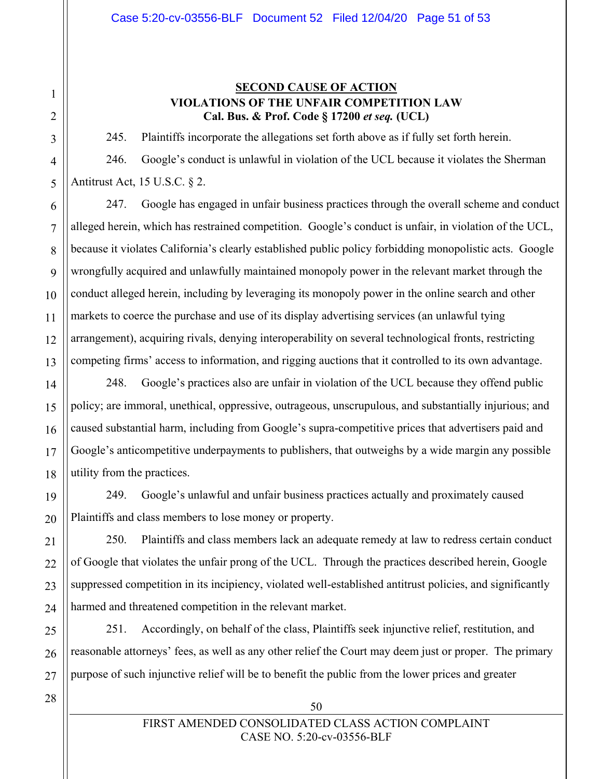### **SECOND CAUSE OF ACTION VIOLATIONS OF THE UNFAIR COMPETITION LAW Cal. Bus. & Prof. Code § 17200** *et seq.* **(UCL)**

245. Plaintiffs incorporate the allegations set forth above as if fully set forth herein.

246. Google's conduct is unlawful in violation of the UCL because it violates the Sherman Antitrust Act, 15 U.S.C. § 2.

247. Google has engaged in unfair business practices through the overall scheme and conduct alleged herein, which has restrained competition. Google's conduct is unfair, in violation of the UCL, because it violates California's clearly established public policy forbidding monopolistic acts. Google wrongfully acquired and unlawfully maintained monopoly power in the relevant market through the conduct alleged herein, including by leveraging its monopoly power in the online search and other markets to coerce the purchase and use of its display advertising services (an unlawful tying arrangement), acquiring rivals, denying interoperability on several technological fronts, restricting competing firms' access to information, and rigging auctions that it controlled to its own advantage.

248. Google's practices also are unfair in violation of the UCL because they offend public policy; are immoral, unethical, oppressive, outrageous, unscrupulous, and substantially injurious; and caused substantial harm, including from Google's supra-competitive prices that advertisers paid and Google's anticompetitive underpayments to publishers, that outweighs by a wide margin any possible utility from the practices.

249. Google's unlawful and unfair business practices actually and proximately caused Plaintiffs and class members to lose money or property.

250. Plaintiffs and class members lack an adequate remedy at law to redress certain conduct of Google that violates the unfair prong of the UCL. Through the practices described herein, Google suppressed competition in its incipiency, violated well-established antitrust policies, and significantly harmed and threatened competition in the relevant market.

251. Accordingly, on behalf of the class, Plaintiffs seek injunctive relief, restitution, and reasonable attorneys' fees, as well as any other relief the Court may deem just or proper. The primary purpose of such injunctive relief will be to benefit the public from the lower prices and greater

50

1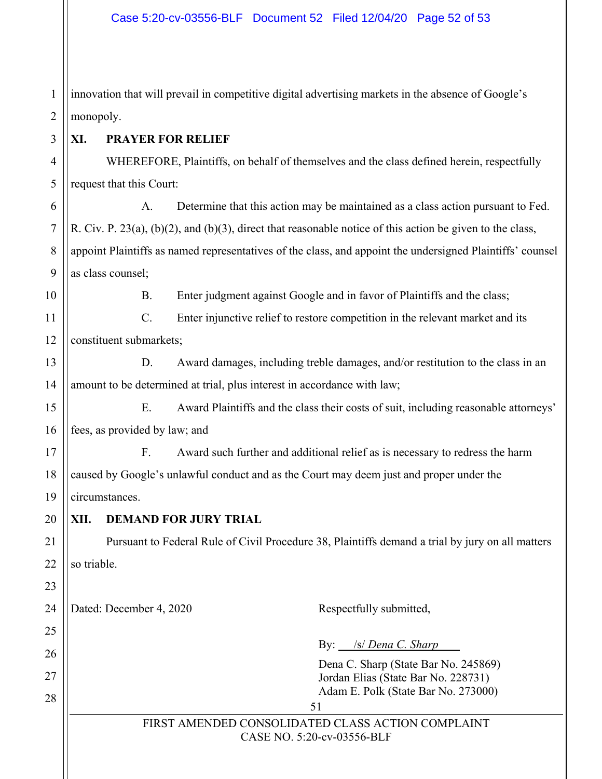| $\mathbf{1}$   | innovation that will prevail in competitive digital advertising markets in the absence of Google's           |  |  |  |  |
|----------------|--------------------------------------------------------------------------------------------------------------|--|--|--|--|
| $\overline{2}$ | monopoly.                                                                                                    |  |  |  |  |
| 3              | <b>PRAYER FOR RELIEF</b><br>XI.                                                                              |  |  |  |  |
| $\overline{4}$ | WHEREFORE, Plaintiffs, on behalf of themselves and the class defined herein, respectfully                    |  |  |  |  |
| 5              | request that this Court:                                                                                     |  |  |  |  |
| 6              | Determine that this action may be maintained as a class action pursuant to Fed.<br>A.                        |  |  |  |  |
| $\tau$         | R. Civ. P. $23(a)$ , (b)(2), and (b)(3), direct that reasonable notice of this action be given to the class, |  |  |  |  |
| 8              | appoint Plaintiffs as named representatives of the class, and appoint the undersigned Plaintiffs' counsel    |  |  |  |  |
| 9              | as class counsel;                                                                                            |  |  |  |  |
| 10             | Enter judgment against Google and in favor of Plaintiffs and the class;<br><b>B.</b>                         |  |  |  |  |
| 11             | C.<br>Enter injunctive relief to restore competition in the relevant market and its                          |  |  |  |  |
| 12             | constituent submarkets;                                                                                      |  |  |  |  |
| 13             | Award damages, including treble damages, and/or restitution to the class in an<br>D.                         |  |  |  |  |
| 14             | amount to be determined at trial, plus interest in accordance with law;                                      |  |  |  |  |
| 15             | Award Plaintiffs and the class their costs of suit, including reasonable attorneys'<br>Ε.                    |  |  |  |  |
| 16             | fees, as provided by law; and                                                                                |  |  |  |  |
| 17             | Award such further and additional relief as is necessary to redress the harm<br>F <sub>r</sub>               |  |  |  |  |
| 18             | caused by Google's unlawful conduct and as the Court may deem just and proper under the                      |  |  |  |  |
| 19             | circumstances.                                                                                               |  |  |  |  |
| 20             | XII.<br><b>DEMAND FOR JURY TRIAL</b>                                                                         |  |  |  |  |
| 21             | Pursuant to Federal Rule of Civil Procedure 38, Plaintiffs demand a trial by jury on all matters             |  |  |  |  |
| 22             | so triable.                                                                                                  |  |  |  |  |
| 23             |                                                                                                              |  |  |  |  |
| 24             | Dated: December 4, 2020<br>Respectfully submitted,                                                           |  |  |  |  |
| 25             |                                                                                                              |  |  |  |  |
| 26             | By: <i>S/ Dena C. Sharp</i><br>Dena C. Sharp (State Bar No. 245869)                                          |  |  |  |  |
| 27             | Jordan Elias (State Bar No. 228731)                                                                          |  |  |  |  |
| 28             | Adam E. Polk (State Bar No. 273000)<br>51                                                                    |  |  |  |  |
|                | FIRST AMENDED CONSOLIDATED CLASS ACTION COMPLAINT<br>CASE NO. 5:20-cv-03556-BLF                              |  |  |  |  |